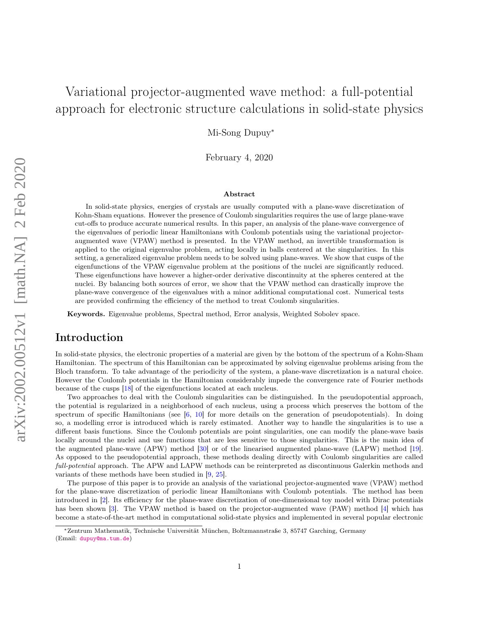# Variational projector-augmented wave method: a full-potential approach for electronic structure calculations in solid-state physics

Mi-Song Dupuy<sup>∗</sup>

February 4, 2020

#### Abstract

In solid-state physics, energies of crystals are usually computed with a plane-wave discretization of Kohn-Sham equations. However the presence of Coulomb singularities requires the use of large plane-wave cut-offs to produce accurate numerical results. In this paper, an analysis of the plane-wave convergence of the eigenvalues of periodic linear Hamiltonians with Coulomb potentials using the variational projectoraugmented wave (VPAW) method is presented. In the VPAW method, an invertible transformation is applied to the original eigenvalue problem, acting locally in balls centered at the singularities. In this setting, a generalized eigenvalue problem needs to be solved using plane-waves. We show that cusps of the eigenfunctions of the VPAW eigenvalue problem at the positions of the nuclei are significantly reduced. These eigenfunctions have however a higher-order derivative discontinuity at the spheres centered at the nuclei. By balancing both sources of error, we show that the VPAW method can drastically improve the plane-wave convergence of the eigenvalues with a minor additional computational cost. Numerical tests are provided confirming the efficiency of the method to treat Coulomb singularities.

Keywords. Eigenvalue problems, Spectral method, Error analysis, Weighted Sobolev space.

### Introduction

In solid-state physics, the electronic properties of a material are given by the bottom of the spectrum of a Kohn-Sham Hamiltonian. The spectrum of this Hamiltonian can be approximated by solving eigenvalue problems arising from the Bloch transform. To take advantage of the periodicity of the system, a plane-wave discretization is a natural choice. However the Coulomb potentials in the Hamiltonian considerably impede the convergence rate of Fourier methods because of the cusps [\[18\]](#page-28-0) of the eigenfunctions located at each nucleus.

Two approaches to deal with the Coulomb singularities can be distinguished. In the pseudopotential approach, the potential is regularized in a neighborhood of each nucleus, using a process which preserves the bottom of the spectrum of specific Hamiltonians (see  $[6, 10]$  $[6, 10]$  $[6, 10]$  for more details on the generation of pseudopotentials). In doing so, a modelling error is introduced which is rarely estimated. Another way to handle the singularities is to use a different basis functions. Since the Coulomb potentials are point singularities, one can modify the plane-wave basis locally around the nuclei and use functions that are less sensitive to those singularities. This is the main idea of the augmented plane-wave (APW) method [\[30\]](#page-28-1) or of the linearised augmented plane-wave (LAPW) method [\[19\]](#page-28-2). As opposed to the pseudopotential approach, these methods dealing directly with Coulomb singularities are called full-potential approach. The APW and LAPW methods can be reinterpreted as discontinuous Galerkin methods and variants of these methods have been studied in [\[9,](#page-27-2) [25\]](#page-28-3).

The purpose of this paper is to provide an analysis of the variational projector-augmented wave (VPAW) method for the plane-wave discretization of periodic linear Hamiltonians with Coulomb potentials. The method has been introduced in [\[2\]](#page-27-3). Its efficiency for the plane-wave discretization of one-dimensional toy model with Dirac potentials has been shown [\[3\]](#page-27-4). The VPAW method is based on the projector-augmented wave (PAW) method [\[4\]](#page-27-5) which has become a state-of-the-art method in computational solid-state physics and implemented in several popular electronic

<sup>∗</sup>Zentrum Mathematik, Technische Universität München, Boltzmannstraße 3, 85747 Garching, Germany (Email: <dupuy@ma.tum.de>)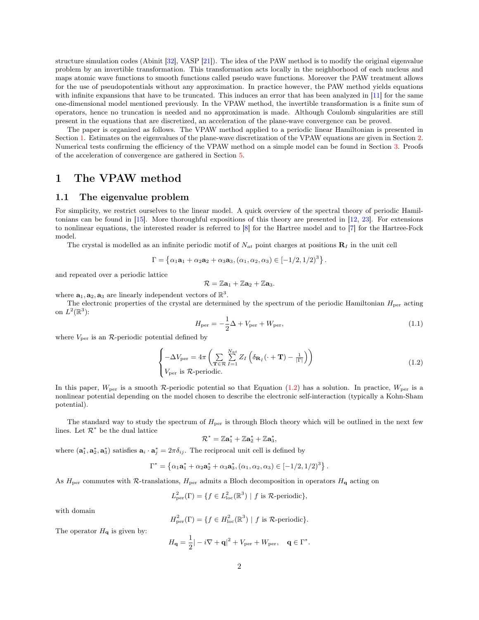structure simulation codes (Abinit [\[32\]](#page-28-4), VASP [\[21\]](#page-28-5)). The idea of the PAW method is to modify the original eigenvalue problem by an invertible transformation. This transformation acts locally in the neighborhood of each nucleus and maps atomic wave functions to smooth functions called pseudo wave functions. Moreover the PAW treatment allows for the use of pseudopotentials without any approximation. In practice however, the PAW method yields equations with infinite expansions that have to be truncated. This induces an error that has been analyzed in [\[11\]](#page-27-6) for the same one-dimensional model mentioned previously. In the VPAW method, the invertible transformation is a finite sum of operators, hence no truncation is needed and no approximation is made. Although Coulomb singularities are still present in the equations that are discretized, an acceleration of the plane-wave convergence can be proved.

The paper is organized as follows. The VPAW method applied to a periodic linear Hamiltonian is presented in Section [1.](#page-1-0) Estimates on the eigenvalues of the plane-wave discretization of the VPAW equations are given in Section [2.](#page-7-0) Numerical tests confirming the efficiency of the VPAW method on a simple model can be found in Section [3.](#page-8-0) Proofs of the acceleration of convergence are gathered in Section [5.](#page-11-0)

### <span id="page-1-0"></span>1 The VPAW method

#### 1.1 The eigenvalue problem

For simplicity, we restrict ourselves to the linear model. A quick overview of the spectral theory of periodic Hamiltonians can be found in [\[15\]](#page-27-7). More thoroughful expositions of this theory are presented in [\[12,](#page-27-8) [23\]](#page-28-6). For extensions to nonlinear equations, the interested reader is referred to [\[8\]](#page-27-9) for the Hartree model and to [\[7\]](#page-27-10) for the Hartree-Fock model.

The crystal is modelled as an infinite periodic motif of  $N_{at}$  point charges at positions  $\mathbf{R}_I$  in the unit cell

$$
\Gamma = \left\{\alpha_1 \mathbf{a}_1 + \alpha_2 \mathbf{a}_2 + \alpha_3 \mathbf{a}_3, (\alpha_1, \alpha_2, \alpha_3) \in [-1/2, 1/2)^3 \right\}
$$

and repeated over a periodic lattice

$$
\mathcal{R}=\mathbb{Z}\mathbf{a}_1+\mathbb{Z}\mathbf{a}_2+\mathbb{Z}\mathbf{a}_3.
$$

where  $\mathbf{a}_1, \mathbf{a}_2, \mathbf{a}_3$  are linearly independent vectors of  $\mathbb{R}^3$ .

The electronic properties of the crystal are determined by the spectrum of the periodic Hamiltonian  $H_{\text{per}}$  acting on  $L^2(\mathbb{R}^3)$ :

$$
H_{\text{per}} = -\frac{1}{2}\Delta + V_{\text{per}} + W_{\text{per}},\tag{1.1}
$$

.

.

.

where  $V_{\text{per}}$  is an  $\mathcal{R}\text{-periodic potential defined by}$ 

<span id="page-1-1"></span>
$$
\begin{cases}\n-\Delta V_{\text{per}} = 4\pi \left( \sum_{\mathbf{T} \in \mathcal{R}} \sum_{I=1}^{N_{at}} Z_I \left( \delta_{\mathbf{R}_I} (\cdot + \mathbf{T}) - \frac{1}{|\Gamma|} \right) \right) \\
V_{\text{per}} \text{ is } \mathcal{R}\text{-periodic.} \n\end{cases} \tag{1.2}
$$

In this paper,  $W_{\text{per}}$  is a smooth R-periodic potential so that Equation [\(1.2\)](#page-1-1) has a solution. In practice,  $W_{\text{per}}$  is a nonlinear potential depending on the model chosen to describe the electronic self-interaction (typically a Kohn-Sham potential).

The standard way to study the spectrum of  $H_{\text{per}}$  is through Bloch theory which will be outlined in the next few lines. Let  $\mathcal{R}^*$  be the dual lattice

$$
\mathcal{R}^*=\mathbb{Z}\mathbf{a}_1^*+\mathbb{Z}\mathbf{a}_2^*+\mathbb{Z}\mathbf{a}_3^*,
$$

where  $(\mathbf{a}_1^*, \mathbf{a}_2^*, \mathbf{a}_3^*)$  satisfies  $\mathbf{a}_i \cdot \mathbf{a}_j^* = 2\pi \delta_{ij}$ . The reciprocal unit cell is defined by

$$
\Gamma^* = \{ \alpha_1 \mathbf{a}_1^* + \alpha_2 \mathbf{a}_2^* + \alpha_3 \mathbf{a}_3^*, (\alpha_1, \alpha_2, \alpha_3) \in [-1/2, 1/2)^3 \}
$$

As  $H_{\text{per}}$  commutes with  $\mathcal{R}\text{-translations}$ ,  $H_{\text{per}}$  admits a Bloch decomposition in operators  $H_{\text{q}}$  acting on

$$
L_{\text{per}}^2(\Gamma) = \{ f \in L_{\text{loc}}^2(\mathbb{R}^3) \mid f \text{ is } \mathcal{R}\text{-periodic} \},
$$

with domain

$$
H_{\text{per}}^{2}(\Gamma) = \{ f \in H_{\text{loc}}^{2}(\mathbb{R}^{3}) \mid f \text{ is } R \text{-periodic} \}.
$$

The operator  $H_{\mathbf{q}}$  is given by:

$$
H_{\mathbf{q}} = \frac{1}{2}|-i\nabla + \mathbf{q}|^2 + V_{\text{per}} + W_{\text{per}}, \quad \mathbf{q} \in \Gamma^*
$$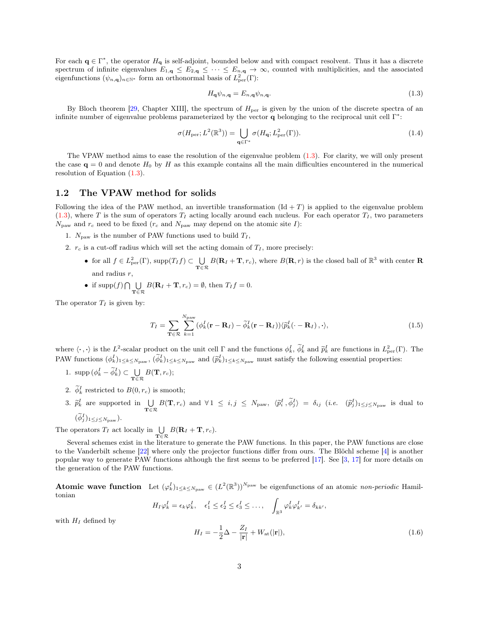For each  $\mathbf{q} \in \Gamma^*$ , the operator  $H_{\mathbf{q}}$  is self-adjoint, bounded below and with compact resolvent. Thus it has a discrete spectrum of infinite eigenvalues  $E_{1,\mathbf{q}} \leq E_{2,\mathbf{q}} \leq \cdots \leq E_{n,\mathbf{q}} \to \infty$ , counted with multiplicities, and the associated eigenfunctions  $(\psi_{n,q})_{n \in \mathbb{N}^*}$  form an orthonormal basis of  $L^2_{per}(\Gamma)$ :

<span id="page-2-0"></span>
$$
H_{\mathbf{q}}\psi_{n,\mathbf{q}} = E_{n,\mathbf{q}}\psi_{n,\mathbf{q}}.\tag{1.3}
$$

By Bloch theorem [\[29,](#page-28-7) Chapter XIII], the spectrum of  $H_{\text{per}}$  is given by the union of the discrete spectra of an infinite number of eigenvalue problems parameterized by the vector  $q$  belonging to the reciprocal unit cell  $\Gamma^*$ :

$$
\sigma(H_{\text{per}}; L^2(\mathbb{R}^3)) = \bigcup_{\mathbf{q} \in \Gamma^*} \sigma(H_{\mathbf{q}}; L^2_{\text{per}}(\Gamma)). \tag{1.4}
$$

The VPAW method aims to ease the resolution of the eigenvalue problem [\(1.3\)](#page-2-0). For clarity, we will only present the case  $\mathbf{q} = 0$  and denote  $H_0$  by H as this example contains all the main difficulties encountered in the numerical resolution of Equation [\(1.3\)](#page-2-0).

### 1.2 The VPAW method for solids

Following the idea of the PAW method, an invertible transformation  $(\text{Id} + T)$  is applied to the eigenvalue problem  $(1.3)$ , where T is the sum of operators  $T_I$  acting locally around each nucleus. For each operator  $T_I$ , two parameters  $N_{\text{paw}}$  and  $r_c$  need to be fixed ( $r_c$  and  $N_{\text{paw}}$  may depend on the atomic site I):

- 1.  $N_{\text{paw}}$  is the number of PAW functions used to build  $T_I$ ,
- 2.  $r_c$  is a cut-off radius which will set the acting domain of  $T_I$ , more precisely:
	- for all  $f \in L^2_{\text{per}}(\Gamma)$ , supp $(T_I f) \subset \bigcup_{\mathbf{T} \in \mathcal{R}} B(\mathbf{R}_I + \mathbf{T}, r_c)$ , where  $B(\mathbf{R}, r)$  is the closed ball of  $\mathbb{R}^3$  with center **R** and radius r,

• if 
$$
\text{supp}(f) \cap \bigcup_{\mathbf{T} \in \mathcal{R}} B(\mathbf{R}_I + \mathbf{T}, r_c) = \emptyset
$$
, then  $T_I f = 0$ .

The operator  $T_I$  is given by:

$$
T_I = \sum_{\mathbf{T} \in \mathcal{R}} \sum_{k=1}^{N_{\text{paw}}} (\phi_k^I(\mathbf{r} - \mathbf{R}_I) - \tilde{\phi}_k^I(\mathbf{r} - \mathbf{R}_I)) \langle \tilde{p}_k^I(\cdot - \mathbf{R}_I) \rangle, \cdot \rangle, \tag{1.5}
$$

where  $\langle \cdot, \cdot \rangle$  is the  $L^2$ -scalar product on the unit cell Γ and the functions  $\phi_k^I$ ,  $\widetilde{\phi}_k^I$  and  $\widetilde{p}_k^I$  are functions in  $L^2_{\text{per}}(\Gamma)$ . The PAW functions  $(\phi_k^I)_{1 \leq k \leq N_{\text{paw}}}$ ,  $(\tilde{\phi}_k^I)_{1 \leq k \leq N_{\text{paw}}}$  and  $(\tilde{p}_k^I)_{1 \leq k \leq N_{\text{paw}}}$  must satisfy the following essential properties:

- 1. supp  $(\phi_k^I \tilde{\phi}_k^I) \subset \bigcup_{\mathbf{T} \in \mathcal{R}} B(\mathbf{T}, r_c);$
- 2.  $\widetilde{\phi}_k^I$  restricted to  $B(0, r_c)$  is smooth;
- 3.  $\tilde{p}_k^I$  are supported in  $\bigcup_{\mathbf{T} \in \mathcal{R}} B(\mathbf{T}, r_c)$  and  $\forall 1 \leq i, j \leq N_{\text{paw}}$ ,  $\langle \tilde{p}_i^I, \tilde{\phi}_j^I \rangle = \delta_{ij}$  (*i.e.*  $(\tilde{p}_j^I)_{1 \leq j \leq N_{\text{paw}}}$  is dual to

 $(\widetilde{\phi}_j^I)_{1\leq j\leq N_{\text{paw}}}).$ 

The operators  $T_I$  act locally in  $\bigcup_{\mathbf{T} \in \mathcal{R}} B(\mathbf{R}_I + \mathbf{T}, r_c)$ .

Several schemes exist in the literature to generate the PAW functions. In this paper, the PAW functions are close to the Vanderbilt scheme [\[22\]](#page-28-8) where only the projector functions differ from ours. The Blöchl scheme [\[4\]](#page-27-5) is another popular way to generate PAW functions although the first seems to be preferred [\[17\]](#page-27-11). See [\[3,](#page-27-4) [17\]](#page-27-11) for more details on the generation of the PAW functions.

**Atomic wave function** Let  $(\varphi_k^I)_{1\leq k\leq N_{\text{paw}}} \in (L^2(\mathbb{R}^3))^{N_{\text{paw}}}$  be eigenfunctions of an atomic non-periodic Hamiltonian

$$
H_I \varphi_k^I = \epsilon_k \varphi_k^I, \quad \epsilon_1^I \leq \epsilon_2^I \leq \epsilon_3^I \leq \ldots, \quad \int_{\mathbb{R}^3} \varphi_k^I \varphi_{k'}^I = \delta_{kk'},
$$

with  $H_I$  defined by

<span id="page-2-1"></span>
$$
H_I = -\frac{1}{2}\Delta - \frac{Z_I}{|\mathbf{r}|} + W_{\text{at}}(|\mathbf{r}|),\tag{1.6}
$$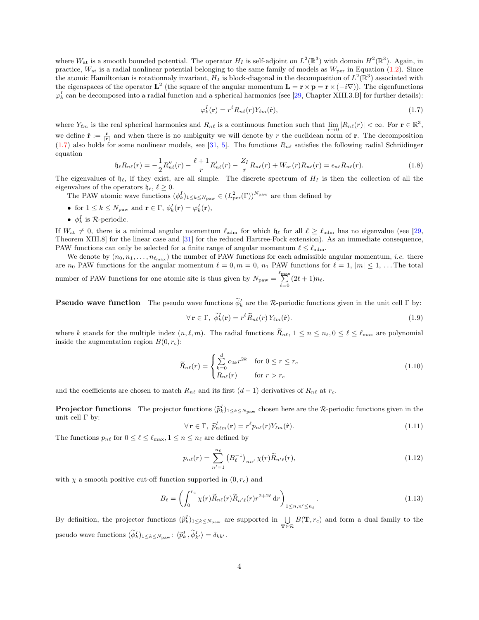where  $W_{\text{at}}$  is a smooth bounded potential. The operator  $H_I$  is self-adjoint on  $L^2(\mathbb{R}^3)$  with domain  $H^2(\mathbb{R}^3)$ . Again, in practice,  $W_{\text{at}}$  is a radial nonlinear potential belonging to the same family of models as  $W_{\text{per}}$  in Equation [\(1.2\)](#page-1-1). Since the atomic Hamiltonian is rotationnaly invariant,  $H_I$  is block-diagonal in the decomposition of  $L^2(\mathbb{R}^3)$  associated with the eigenspaces of the operator  $\mathbf{L}^2$  (the square of the angular momentum  $\mathbf{L} = \mathbf{r} \times \mathbf{p} = \mathbf{r} \times (-i\nabla)$ ). The eigenfunctions  $\varphi_k^I$  can be decomposed into a radial function and a spherical harmonics (see [\[29,](#page-28-7) Chapter XIII.3.B] for further details):

<span id="page-3-0"></span>
$$
\varphi_k^I(\mathbf{r}) = r^\ell R_{n\ell}(r) Y_{\ell m}(\hat{\mathbf{r}}),\tag{1.7}
$$

where  $Y_{\ell m}$  is the real spherical harmonics and  $R_{n\ell}$  is a continuous function such that  $\lim_{r\to 0}|R_{n\ell}(r)| < \infty$ . For  $r \in \mathbb{R}^3$ , we define  $\hat{\mathbf{r}} := \frac{\mathbf{r}}{|\mathbf{r}|}$  and when there is no ambiguity we will denote by r the euclidean norm of r. The decomposition  $(1.7)$  also holds for some nonlinear models, see [\[31,](#page-28-9) [5\]](#page-27-12). The functions  $R_{n\ell}$  satisfies the following radial Schrödinger equation

$$
\mathfrak{h}_{\ell}R_{n\ell}(r) = -\frac{1}{2}R_{n\ell}''(r) - \frac{\ell+1}{r}R_{n\ell}'(r) - \frac{Z_I}{r}R_{n\ell}(r) + W_{\text{at}}(r)R_{n\ell}(r) = \epsilon_{n\ell}R_{n\ell}(r).
$$
\n(1.8)

The eigenvalues of  $\mathfrak{h}_{\ell}$ , if they exist, are all simple. The discrete spectrum of  $H_I$  is then the collection of all the eigenvalues of the operators  $\mathfrak{h}_{\ell}, \ell \geq 0$ .

The PAW atomic wave functions  $(\phi_k^I)_{1\leq k\leq N_{\text{paw}}} \in (L^2_{\text{per}}(\Gamma))^{N_{\text{paw}}}$  are then defined by

- for  $1 \leq k \leq N_{\text{paw}}$  and  $\mathbf{r} \in \Gamma$ ,  $\phi_k^I(\mathbf{r}) = \varphi_k^I(\mathbf{r})$ ,
- $\phi_k^I$  is R-periodic.

If  $W_{\rm at} \neq 0$ , there is a minimal angular momentum  $\ell_{\rm adm}$  for which  $\mathfrak{h}_{\ell}$  for all  $\ell \geq \ell_{\rm adm}$  has no eigenvalue (see [\[29,](#page-28-7) Theorem XIII.8] for the linear case and [\[31\]](#page-28-9) for the reduced Hartree-Fock extension). As an immediate consequence, PAW functions can only be selected for a finite range of angular momentum  $\ell \leq \ell_{\text{adm}}$ .

We denote by  $(n_0, n_1, \ldots, n_{\ell_{\text{max}}})$  the number of PAW functions for each admissible angular momentum, *i.e.* there are  $n_0$  PAW functions for the angular momentum  $\ell = 0, m = 0, n_1$  PAW functions for  $\ell = 1, |m| \leq 1, ...$  The total number of PAW functions for one atomic site is thus given by  $N_{\text{paw}} = \sum_{\ell=0}^{\ell_{\text{max}}} (2\ell + 1) n_{\ell}$ .

**Pseudo wave function** The pseudo wave functions  $\widetilde{\phi}_k^I$  are the R-periodic functions given in the unit cell  $\Gamma$  by:

$$
\forall \mathbf{r} \in \Gamma, \ \widetilde{\phi}_{k}^{I}(\mathbf{r}) = r^{\ell} \widetilde{R}_{n\ell}(r) Y_{\ell m}(\hat{\mathbf{r}}).
$$
\n(1.9)

where k stands for the multiple index  $(n, \ell, m)$ . The radial functions  $\widetilde{R}_{n\ell}$ ,  $1 \leq n \leq n_{\ell}$ ,  $0 \leq \ell \leq \ell_{\max}$  are polynomial inside the augmentation region  $B(0, r_c)$ :

$$
\widetilde{R}_{n\ell}(r) = \begin{cases}\n\sum_{k=0}^{d} c_{2k} r^{2k} & \text{for } 0 \le r \le r_c \\
R_{n\ell}(r) & \text{for } r > r_c\n\end{cases}
$$
\n(1.10)

and the coefficients are chosen to match  $R_{n\ell}$  and its first  $(d - 1)$  derivatives of  $R_{n\ell}$  at  $r_c$ .

**Projector functions** The projector functions  $(\tilde{p}_k^I)_{1\leq k\leq N_{\text{paw}}}$  chosen here are the R-periodic functions given in the unit cell  $\Gamma$  by:

$$
\forall \mathbf{r} \in \Gamma, \ \widetilde{p}_{n\ell m}^I(\mathbf{r}) = r^{\ell} p_{n\ell}(r) Y_{\ell m}(\hat{\mathbf{r}}). \tag{1.11}
$$

The functions  $p_{n\ell}$  for  $0 \leq \ell \leq \ell_{\max}$ ,  $1 \leq n \leq n_{\ell}$  are defined by

$$
p_{n\ell}(r) = \sum_{n'=1}^{n_{\ell}} \left( B_{\ell}^{-1} \right)_{nn'} \chi(r) \widetilde{R}_{n'\ell}(r), \tag{1.12}
$$

with  $\chi$  a smooth positive cut-off function supported in  $(0, r_c)$  and

$$
B_{\ell} = \left(\int_0^{r_c} \chi(r) \widetilde{R}_{n\ell}(r) \widetilde{R}_{n'\ell}(r) r^{2+2\ell} \, \mathrm{d}r\right)_{1 \le n, n' \le n_{\ell}}.
$$
\n(1.13)

By definition, the projector functions  $(\tilde{p}_k^I)_{1\leq k\leq N_{\text{paw}}}$  are supported in  $\bigcup_{\mathbf{T}\in\mathcal{R}} B(\mathbf{T},r_c)$  and form a dual family to the pseudo wave functions  $(\widetilde{\phi}_k^I)_{1 \leq k \leq N_{\text{paw}}}$ :  $\langle \widetilde{p}_k^I, \widetilde{\phi}_{k'}^I \rangle = \delta_{kk'}$ .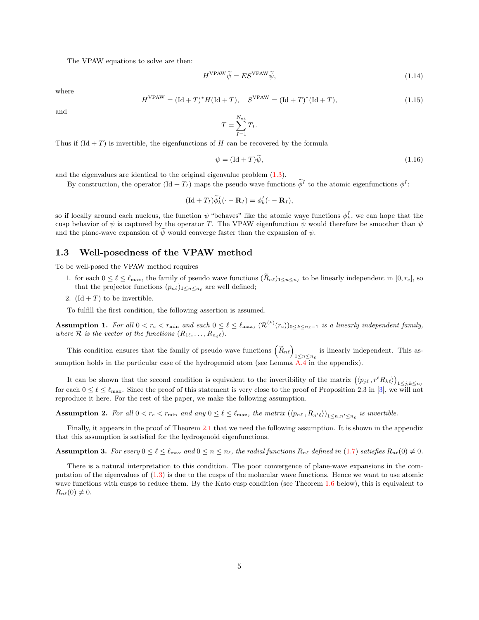The VPAW equations to solve are then:

<span id="page-4-0"></span>H

$$
H^{\text{VPAW}}\widetilde{\psi} = ES^{\text{VPAW}}\widetilde{\psi},\tag{1.14}
$$

where

$$
IVPAW = (\text{Id} + T)^* H (\text{Id} + T), \quad SVPAW = (\text{Id} + T)^* (\text{Id} + T), \tag{1.15}
$$

and

$$
T = \sum_{I=1}^{N_{at}} T_I.
$$

Thus if  $(\text{Id} + T)$  is invertible, the eigenfunctions of H can be recovered by the formula

<span id="page-4-4"></span>
$$
\psi = (\text{Id} + T)\psi,\tag{1.16}
$$

and the eigenvalues are identical to the original eigenvalue problem [\(1.3\)](#page-2-0).

By construction, the operator  $(\text{Id} + T_I)$  maps the pseudo wave functions  $\widetilde{\phi}^I$  to the atomic eigenfunctions  $\phi^I$ :

$$
(\mathrm{Id} + T_I)\widetilde{\phi}_k^I(\cdot - \mathbf{R}_I) = \phi_k^I(\cdot - \mathbf{R}_I),
$$

so if locally around each nucleus, the function  $\psi$  "behaves" like the atomic wave functions  $\phi_k^I$ , we can hope that the cusp behavior of  $\psi$  is captured by the operator T. The VPAW eigenfunction  $\widetilde{\psi}$  would therefore be smoother than  $\psi$ and the plane-wave expansion of  $\tilde{\psi}$  would converge faster than the expansion of  $\psi$ .

#### 1.3 Well-posedness of the VPAW method

To be well-posed the VPAW method requires

- 1. for each  $0 \leq \ell \leq \ell_{\max}$ , the family of pseudo wave functions  $(R_{n\ell})_{1 \leq n \leq n_{\ell}}$  to be linearly independent in  $[0, r_c]$ , so that the projector functions  $(p_{n\ell})_{1\leq n\leq n_{\ell}}$  are well defined;
- 2.  $(\text{Id} + T)$  to be invertible.

To fulfill the first condition, the following assertion is assumed.

<span id="page-4-1"></span>**Assumption 1.** For all  $0 < r_c < r_{\min}$  and each  $0 \leq \ell \leq \ell_{\max}$ ,  $(\mathcal{R}^{(k)}(r_c))_{0 \leq k \leq n_{\ell}-1}$  is a linearly independent family, where  $\mathcal R$  is the vector of the functions  $(R_{1\ell}, \ldots, R_{n_\ell\ell}).$ 

This condition ensures that the family of pseudo-wave functions  $(\tilde{R}_{n\ell})$ <sub>1≤n≤n<sub> $\ell$ </sub> is linearly independent. This as-</sub> sumption holds in the particular case of the hydrogenoid atom (see Lemma  $\overline{A.4}$  $\overline{A.4}$  $\overline{A.4}$  in the appendix).

It can be shown that the second condition is equivalent to the invertibility of the matrix  $(\langle p_{j\ell}, r^{\ell}R_{k\ell} \rangle)_{1 \leq j,k \leq n_{\ell}}$ for each  $0 \leq \ell \leq \ell_{\text{max}}$ . Since the proof of this statement is very close to the proof of Proposition 2.3 in [\[3\]](#page-27-4), we will not reproduce it here. For the rest of the paper, we make the following assumption.

<span id="page-4-2"></span>**Assumption 2.** For all  $0 < r_c < r_{\min}$  and any  $0 \leq \ell \leq \ell_{\max}$ , the matrix  $(\langle p_{n\ell}, R_{n'\ell} \rangle)_{1 \leq n, n' \leq n_{\ell}}$  is invertible.

Finally, it appears in the proof of Theorem [2.1](#page-7-1) that we need the following assumption. It is shown in the appendix that this assumption is satisfied for the hydrogenoid eigenfunctions.

<span id="page-4-3"></span>**Assumption 3.** For every  $0 \leq \ell \leq \ell_{\max}$  and  $0 \leq n \leq n_{\ell}$ , the radial functions  $R_{n\ell}$  defined in [\(1.7\)](#page-3-0) satisfies  $R_{n\ell}(0) \neq 0$ .

There is a natural interpretation to this condition. The poor convergence of plane-wave expansions in the computation of the eigenvalues of [\(1.3\)](#page-2-0) is due to the cusps of the molecular wave functions. Hence we want to use atomic wave functions with cusps to reduce them. By the Kato cusp condition (see Theorem [1.6](#page-6-0) below), this is equivalent to  $R_{n\ell}(0) \neq 0.$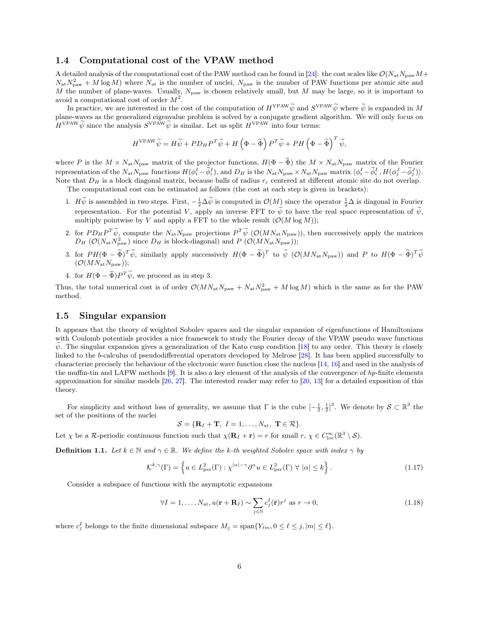### 1.4 Computational cost of the VPAW method

A detailed analysis of the computational cost of the PAW method can be found in [\[24\]](#page-28-10): the cost scales like  $\mathcal{O}(N_{\rm at}N_{\rm paw}M+$  $N_{\rm at} N_{\rm paw}^2 + M \log M$ ) where  $N_{\rm at}$  is the number of nuclei,  $N_{\rm paw}$  is the number of PAW functions per atomic site and M the number of plane-waves. Usually,  $N_{\text{paw}}$  is chosen relatively small, but M may be large, so it is important to avoid a computational cost of order  $M^2$ .

In practice, we are interested in the cost of the computation of  $H^{\text{VPAW}}\tilde{\psi}$  and  $S^{\text{VPAW}}\tilde{\psi}$  where  $\tilde{\psi}$  is expanded in M plane-waves as the generalized eigenvalue problem is solved by a conjugate gradient algorithm. We will only focus on  $H^{\text{VPAW}}\widetilde{\psi}$  since the analysis  $S^{\text{VPAW}}\widetilde{\psi}$  is similar. Let us split  $H^{\text{VPAW}}$  into four terms:

$$
H^{\mathrm{VPAW}} \widetilde{\psi} = H \widetilde{\psi} + P D_H P^T \widetilde{\psi} + H \left( \Phi - \widetilde{\Phi} \right) P^T \widetilde{\psi} + P H \left( \Phi - \widetilde{\Phi} \right)^T \widetilde{\psi},
$$

where P is the  $M \times N_{\rm at} N_{\rm paw}$  matrix of the projector functions,  $H(\Phi - \tilde{\Phi})$  the  $M \times N_{\rm at} N_{\rm paw}$  matrix of the Fourier representation of the  $N_{\rm at}N_{\rm paw}$  functions  $H(\phi_i^I - \tilde{\phi}_i^I)$ , and  $D_H$  is the  $N_{\rm at}N_{\rm paw} \times N_{\rm at}N_{\rm paw}$  matrix  $\langle \phi_i^I - \tilde{\phi}_i^I, H(\phi_j^J - \tilde{\phi}_j^J) \rangle$ . Note that  $D_H$  is a block diagonal matrix, because balls of radius  $r_c$  centered at different atomic site do not overlap.

The computational cost can be estimated as follows (the cost at each step is given in brackets):

- 1.  $H\widetilde{\psi}$  is assembled in two steps. First,  $-\frac{1}{2}\Delta\widetilde{\psi}$  is computed in  $\mathcal{O}(M)$  since the operator  $\frac{1}{2}\Delta$  is diagonal in Fourier representation. For the potential V, apply an inverse FFT to  $\tilde{\psi}$  to have the real space representation of  $\tilde{\psi}$ , multiply pointwise by V and apply a FFT to the whole result  $(\mathcal{O}(M \log M));$
- 2. for  $PD_H P^T \widetilde{\psi}$ , compute the  $N_{\text{at}} N_{\text{paw}}$  projections  $P^T \widetilde{\psi}$  ( $\mathcal{O}(MN_{\text{at}} N_{\text{paw}})$ ), then successively apply the matrices  $D_H$  ( $\mathcal{O}(N_{\text{at}} N_{\text{paw}})$ );
- 3. for  $PH(\Phi \tilde{\Phi})^T \tilde{\psi}$ , similarly apply successively  $H(\Phi \tilde{\Phi})^T$  to  $\tilde{\psi}$  ( $\mathcal{O}(MN_{\text{at}}N_{\text{paw}})$ ) and P to  $H(\Phi \tilde{\Phi})^T \tilde{\psi}$  $(\mathcal{O}(MN_{\text{at}}N_{\text{paw}}));$
- 4. for  $H(\Phi \tilde{\Phi})P^T \tilde{\psi}$ , we proceed as in step 3.

Thus, the total numerical cost is of order  $\mathcal{O}(MN_{\text{at}}N_{\text{paw}}+N_{\text{at}}N_{\text{paw}}^2+M\log M)$  which is the same as for the PAW method.

#### 1.5 Singular expansion

It appears that the theory of weighted Sobolev spaces and the singular expansion of eigenfunctions of Hamiltonians with Coulomb potentials provides a nice framework to study the Fourier decay of the VPAW pseudo wave functions  $\psi$ . The singular expansion gives a generalization of the Kato cusp condition [\[18\]](#page-28-0) to any order. This theory is closely linked to the b-calculus of pseudodifferential operators developed by Melrose [\[28\]](#page-28-11). It has been applied successfully to characterize precisely the behaviour of the electronic wave function close the nucleus [\[14,](#page-27-13) [16\]](#page-27-14) and used in the analysis of the muffin-tin and LAPW methods  $[9]$ . It is also a key element of the analysis of the convergence of  $hp$ -finite elements approximation for similar models  $[26, 27]$  $[26, 27]$  $[26, 27]$ . The interested reader may refer to  $[20, 13]$  $[20, 13]$  $[20, 13]$  for a detailed exposition of this theory.

For simplicity and without loss of generality, we assume that  $\Gamma$  is the cube  $[-\frac{1}{2},\frac{1}{2}]^3$ . We denote by  $\mathcal{S} \subset \mathbb{R}^3$  the set of the positions of the nuclei

$$
\mathcal{S} = \{ \mathbf{R}_I + \mathbf{T}, I = 1, \ldots, N_{\text{at}}, \mathbf{T} \in \mathcal{R} \}.
$$

Let  $\chi$  be a R-periodic continuous function such that  $\chi(\mathbf{R}_I + \mathbf{r}) = r$  for small  $r, \chi \in C^{\infty}_{loc}(\mathbb{R}^3 \setminus \mathcal{S})$ .

**Definition 1.1.** Let  $k \in \mathbb{N}$  and  $\gamma \in \mathbb{R}$ . We define the k-th weighted Sobolev space with index  $\gamma$  by

$$
\mathcal{K}^{k,\gamma}(\Gamma) = \left\{ u \in L^2_{\text{per}}(\Gamma) : \chi^{|\alpha|-\gamma} \partial^{\alpha} u \in L^2_{\text{per}}(\Gamma) \ \forall \ |\alpha| \le k \right\}.
$$
 (1.17)

Consider a subspace of functions with the asymptotic expansions

<span id="page-5-0"></span>
$$
\forall I = 1, \dots, N_{\text{at}}, u(\mathbf{r} + \mathbf{R}_I) \sim \sum_{j \in \mathbb{N}} c_j^I(\hat{\mathbf{r}}) r^j \text{ as } r \to 0,
$$
\n(1.18)

where  $c_j^I$  belongs to the finite dimensional subspace  $M_j = \text{span}\{Y_{\ell m}, 0 \leq \ell \leq j, |m| \leq \ell\}.$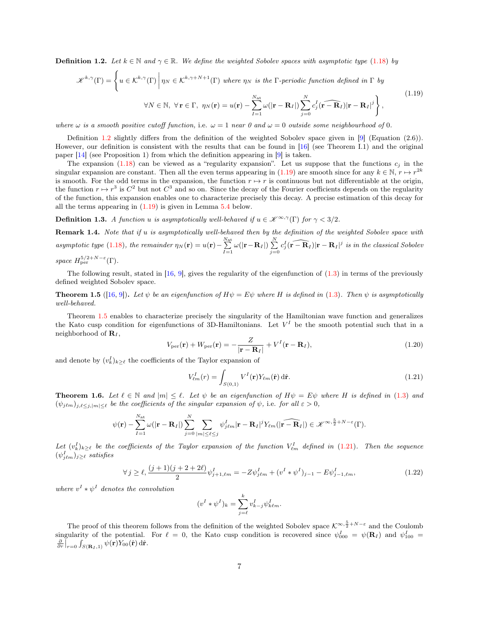<span id="page-6-1"></span>**Definition 1.2.** Let  $k \in \mathbb{N}$  and  $\gamma \in \mathbb{R}$ . We define the weighted Sobolev spaces with asymptotic type [\(1.18\)](#page-5-0) by

<span id="page-6-2"></span>
$$
\mathcal{K}^{k,\gamma}(\Gamma) = \left\{ u \in \mathcal{K}^{k,\gamma}(\Gamma) \middle| \eta_N \in \mathcal{K}^{k,\gamma+N+1}(\Gamma) \text{ where } \eta_N \text{ is the } \Gamma \text{-periodic function defined in } \Gamma \text{ by} \right\}
$$
\n
$$
\forall N \in \mathbb{N}, \ \forall \mathbf{r} \in \Gamma, \ \eta_N(\mathbf{r}) = u(\mathbf{r}) - \sum_{I=1}^{N_{\text{at}}} \omega(|\mathbf{r} - \mathbf{R}_I|) \sum_{j=0}^{N} c_j^I(\widehat{\mathbf{r} - \mathbf{R}_I}) |\mathbf{r} - \mathbf{R}_I|^j \right\},\tag{1.19}
$$

where  $\omega$  is a smooth positive cutoff function, i.e.  $\omega = 1$  near 0 and  $\omega = 0$  outside some neighbourhood of 0.

Definition [1.2](#page-6-1) slightly differs from the definition of the weighted Sobolev space given in [\[9\]](#page-27-2) (Equation (2.6)). However, our definition is consistent with the results that can be found in [\[16\]](#page-27-14) (see Theorem I.1) and the original paper [\[14\]](#page-27-13) (see Proposition 1) from which the definition appearing in [\[9\]](#page-27-2) is taken.

The expansion  $(1.18)$  can be viewed as a "regularity expansion". Let us suppose that the functions  $c_j$  in the singular expansion are constant. Then all the even terms appearing in [\(1.19\)](#page-6-2) are smooth since for any  $k \in \mathbb{N}, r \mapsto r^{2k}$ is smooth. For the odd terms in the expansion, the function  $r \mapsto r$  is continuous but not differentiable at the origin, the function  $r \mapsto r^3$  is  $C^2$  but not  $C^3$  and so on. Since the decay of the Fourier coefficients depends on the regularity of the function, this expansion enables one to characterize precisely this decay. A precise estimation of this decay for all the terms appearing in  $(1.19)$  is given in Lemma [5.4](#page-13-0) below.

**Definition 1.3.** A function u is asymptotically well-behaved if  $u \in \mathscr{K}^{\infty,\gamma}(\Gamma)$  for  $\gamma < 3/2$ .

<span id="page-6-5"></span>Remark 1.4. Note that if u is asymptotically well-behaved then by the definition of the weighted Sobolev space with asymptotic type [\(1.18\)](#page-5-0), the remainder  $\eta_N(\mathbf{r}) = u(\mathbf{r}) - \sum_{I=1}^{N_{\text{at}}} \omega(|\mathbf{r} - \mathbf{R}_I|) \sum_{j=0}^{N} c_j^I(\widehat{\mathbf{r} - \mathbf{R}_I}) |\mathbf{r} - \mathbf{R}_I|^j$  is in the classical Sobolev space  $H^{5/2+N-\varepsilon}_{\text{per}}(\Gamma)$ .

The following result, stated in  $[16, 9]$  $[16, 9]$  $[16, 9]$ , gives the regularity of the eigenfunction of  $(1.3)$  in terms of the previously defined weighted Sobolev space.

<span id="page-6-3"></span>**Theorem 1.5** ([\[16,](#page-27-14) [9\]](#page-27-2)). Let  $\psi$  be an eigenfunction of  $H\psi = E\psi$  where H is defined in [\(1.3\)](#page-2-0). Then  $\psi$  is asymptotically well-behaved.

Theorem [1.5](#page-6-3) enables to characterize precisely the singularity of the Hamiltonian wave function and generalizes the Kato cusp condition for eigenfunctions of 3D-Hamiltonians. Let  $V^I$  be the smooth potential such that in a neighborhood of  $\mathbf{R}_I$ ,

<span id="page-6-6"></span>
$$
V_{\text{per}}(\mathbf{r}) + W_{\text{per}}(\mathbf{r}) = -\frac{Z}{|\mathbf{r} - \mathbf{R}_I|} + V^I(\mathbf{r} - \mathbf{R}_I),
$$
\n(1.20)

and denote by  $(v_k^I)_{k\geq \ell}$  the coefficients of the Taylor expansion of

<span id="page-6-4"></span>
$$
V_{\ell m}^{I}(r) = \int_{S(0,1)} V^{I}(\mathbf{r}) Y_{\ell m}(\hat{\mathbf{r}}) d\hat{\mathbf{r}}.
$$
\n(1.21)

 $j=0$ 

<span id="page-6-0"></span>**Theorem 1.6.** Let  $\ell \in \mathbb{N}$  and  $|m| \leq \ell$ . Let  $\psi$  be an eigenfunction of  $H\psi = E\psi$  where H is defined in [\(1.3\)](#page-2-0) and  $(\psi_{j\ell m})_{j,\ell \leq j,|m| \leq \ell}$  be the coefficients of the singular expansion of  $\psi$ , i.e. for all  $\varepsilon > 0$ ,

$$
\psi(\mathbf{r}) - \sum_{I=1}^{N_{\text{at}}} \omega(|\mathbf{r}-\mathbf{R}_I|) \sum_{j=0}^N \sum_{|m| \leq \ell \leq j} \psi_{j\ell m}^I |\mathbf{r}-\mathbf{R}_I|^j Y_{\ell m}(|\widehat{\mathbf{r}-\mathbf{R}_I}|) \in \mathscr{K}^{\infty,\frac{5}{2}+N-\varepsilon}(\Gamma).
$$

Let  $(v_k^I)_{k\geq \ell}$  be the coefficients of the Taylor expansion of the function  $V_{\ell m}^I$  defined in  $(1.21)$ . Then the sequence  $(\psi^I_{j\ell m})_{j\geq \ell}$  satisfies

<span id="page-6-7"></span>
$$
\forall j \ge \ell, \frac{(j+1)(j+2+2\ell)}{2} \psi_{j+1,\ell m}^I = -Z\psi_{j\ell m}^I + (v^I * \psi^I)_{j-1} - E\psi_{j-1,\ell m}^I,
$$
\n(1.22)

where  $v^I * \psi^I$  denotes the convolution

$$
(v^I * \psi^I)_k = \sum_{j=\ell}^k v_{k-j}^I \psi^I_{k\ell m}.
$$

The proof of this theorem follows from the definition of the weighted Sobolev space  $\mathcal{K}^{\infty, \frac{5}{2} + N - \varepsilon}$  and the Coulomb singularity of the potential. For  $\ell = 0$ , the Kato cusp condition is recovered since  $\psi_{000}^I = \psi(\mathbf{R}_I)$  and  $\psi_{100}^I =$  $\frac{\partial}{\partial r}\big|_{r=0}\int_{S(\mathbf{R}_I,1)}\psi(\mathbf{r})Y_{00}(\hat{\mathbf{r}})\,\mathrm{d}\hat{\mathbf{r}}.$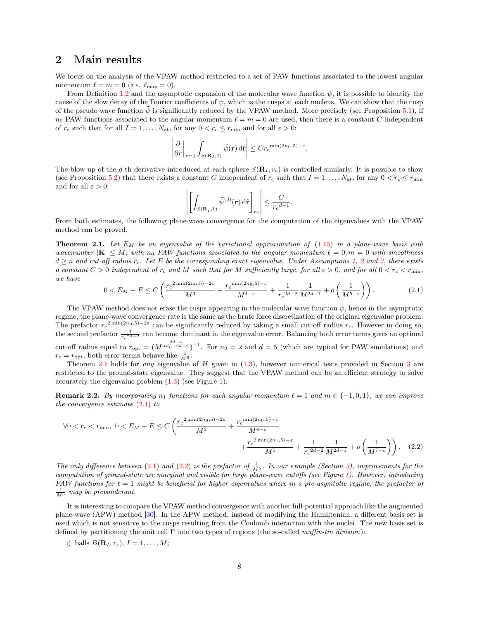### <span id="page-7-0"></span>2 Main results

We focus on the analysis of the VPAW method restricted to a set of PAW functions associated to the lowest angular momentum  $\ell = m = 0$  (*i.e.*  $\ell_{\text{max}} = 0$ ).

From Definition [1.2](#page-6-1) and the asymptotic expansion of the molecular wave function  $\psi$ , it is possible to identify the cause of the slow decay of the Fourier coefficients of  $\psi$ , which is the cusps at each nucleus. We can show that the cusp of the pseudo wave function  $\psi$  is significantly reduced by the VPAW method. More precisely (see Proposition [5.1\)](#page-12-0), if  $n_0$  PAW functions associated to the angular momentum  $\ell = m = 0$  are used, then there is a constant C independent of  $r_c$  such that for all  $I = 1, \ldots, N_{at}$ , for any  $0 < r_c \le r_{min}$  and for all  $\varepsilon > 0$ :

$$
\left|\frac{\partial}{\partial r}\bigg|_{r=0}\int_{S(\mathbf{R}_I,1)}\widetilde{\psi}(\mathbf{r})\,\mathrm{d}\hat{\mathbf{r}}\right|\leq Cr_c^{\min(2n_0,5)-\varepsilon}.
$$

The blow-up of the d-th derivative introduced at each sphere  $S(\mathbf{R}_I, r_c)$  is controlled similarly. It is possible to show (see Proposition [5.2\)](#page-12-1) that there exists a constant C independent of  $r_c$  such that  $I = 1, \ldots, N_{at}$ , for any  $0 \lt r_c \lt r_{\min}$ and for all  $\varepsilon > 0$ :

<span id="page-7-3"></span>
$$
\left| \left[ \int_{S(\mathbf{R}_I,1)} \widetilde{\psi}^{(d)}(\mathbf{r}) \, d\hat{\mathbf{r}} \right]_{r_c} \right| \leq \frac{C}{r_c^{d-1}}.
$$

From both estimates, the following plane-wave convergence for the computation of the eigenvalues with the VPAW method can be proved.

<span id="page-7-1"></span>**Theorem 2.1.** Let  $E_M$  be an eigenvalue of the variational approximation of  $(1.15)$  in a plane-wave basis with wavenumber  $|\mathbf{K}| \leq M$ , with  $n_0$  PAW functions associated to the angular momentum  $\ell = 0, m = 0$  with smoothness  $d \geq n$  and cut-off radius  $r_c$ . Let E be the corresponding exact eigenvalue. Under Assumptions [1,](#page-4-1) [2](#page-4-2) and [3,](#page-4-3) there exists a constant  $C > 0$  independent of  $r_c$  and M such that for M sufficiently large, for all  $\varepsilon > 0$ , and for all  $0 < r_c < r_{\min}$ , we have

<span id="page-7-2"></span>
$$
0 < E_M - E \le C \left( \frac{r_c^{2\min(2n_0, 5) - 2\varepsilon}}{M^3} + \frac{r_c^{\min(2n_0, 5) - \varepsilon}}{M^{4-\varepsilon}} + \frac{1}{r_c^{2d-2}} \frac{1}{M^{2d-1}} + o\left(\frac{1}{M^{5-\varepsilon}}\right) \right). \tag{2.1}
$$

The VPAW method does not erase the cusps appearing in the molecular wave function  $\psi$ , hence in the asymptotic regime, the plane-wave convergence rate is the same as the brute force discretization of the original eigenvalue problem. The prefactor  $r_c^{2\min(2n_0,5)-2\varepsilon}$  can be significantly reduced by taking a small cut-off radius  $r_c$ . However in doing so, the second prefactor  $\frac{1}{rc^{2d-2}}$  can become dominant in the eigenvalue error. Balancing both error terms gives an optimal cut-off radius equal to  $r_{\text{opt}} = (M^{\frac{2d-4}{4n_0+2d-2}})^{-1}$ . For  $n_0 = 2$  and  $d = 5$  (which are typical for PAW simulations) and  $r_c = r_{\rm opt}$ , both error terms behave like  $\frac{1}{M^6}$ .

Theorem [2.1](#page-7-1) holds for *any* eigenvalue of H given in  $(1.3)$ , however numerical tests provided in Section [3](#page-8-0) are restricted to the ground-state eigenvalue. They suggest that the VPAW method can be an efficient strategy to solve accurately the eigenvalue problem [\(1.3\)](#page-2-0) (see Figure [1\)](#page-9-0).

**Remark 2.2.** By incorporating  $n_1$  functions for each angular momentum  $\ell = 1$  and  $m \in \{-1, 0, 1\}$ , we can improve the convergence estimate  $(2.1)$  to

$$
\forall 0 < r_c < r_{\min}, \ 0 < E_M - E \le C \left( \frac{r_c^{2\min(2n_0,5) - 2\varepsilon}}{M^3} + \frac{r_c^{\min(2n_0,5) - \varepsilon}}{M^{4-\varepsilon}} + \frac{1}{r_c^{2d-2}} \frac{1}{M^{2d-1}} + o\left(\frac{1}{M^{7-\varepsilon}}\right) \right). \tag{2.2}
$$

The only difference between [\(2.1\)](#page-7-2) and [\(2.2\)](#page-7-3) is the prefactor of  $\frac{1}{M^5}$ . In our example (Section [3\)](#page-8-0), improvements for the computation of ground-state are marginal and visible for large plane-wave cutoffs (see Figure [1\)](#page-9-0). However, introducing PAW functions for  $\ell = 1$  might be beneficial for higher eigenvalues where in a pre-asymtotic regime, the prefactor of  $\frac{1}{M^5}$  may be preponderant.

It is interesting to compare the VPAW method convergence with another full-potential approach like the augmented plane-wave (APW) method [\[30\]](#page-28-1). In the APW method, instead of modifying the Hamiltonian, a different basis set is used which is not sensitive to the cusps resulting from the Coulomb interaction with the nuclei. The new basis set is defined by partitioning the unit cell  $\Gamma$  into two types of regions (the so-called muffin-tin division):

i) balls  $B(\mathbf{R}_I, r_c), I = 1, \ldots, M;$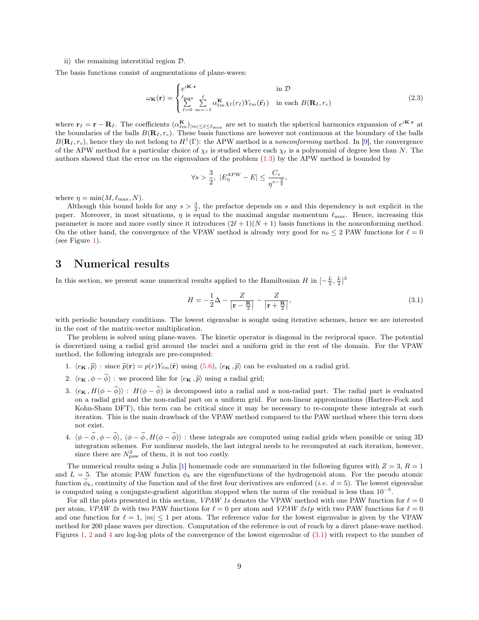#### ii) the remaining interstitial region D.

The basis functions consist of augmentations of plane-waves:

$$
\omega_{\mathbf{K}}(\mathbf{r}) = \begin{cases} e^{i\mathbf{K}\cdot\mathbf{r}} & \text{in } \mathcal{D} \\ \sum_{\ell=0}^{\ell_{\max}} \sum_{m=-\ell}^{\ell} \alpha_{\ell m}^{\mathbf{K}} \chi_{\ell}(r_{I}) Y_{\ell m}(\hat{\mathbf{r}_{I}}) & \text{in each } B(\mathbf{R}_{I}, r_{c}) \end{cases}
$$
(2.3)

where  $\mathbf{r}_I = \mathbf{r} - \mathbf{R}_I$ . The coefficients  $(\alpha_{\ell m}^{\mathbf{K}})_{|m| \leq \ell \leq \ell_{\max}}$  are set to match the spherical harmonics expansion of  $e^{i\mathbf{K} \cdot \mathbf{r}}$  at the boundaries of the balls  $B(\mathbf{R}_I, r_c)$ . These basis functions are however not continuous at the boundary of the balls  $B(\mathbf{R}_I, r_c)$ , hence they do not belong to  $H^1(\Gamma)$ : the APW method is a nonconforming method. In [\[9\]](#page-27-2), the convergence of the APW method for a particular choice of  $\chi_{\ell}$  is studied where each  $\chi_{\ell}$  is a polynomial of degree less than N. The authors showed that the error on the eigenvalues of the problem [\(1.3\)](#page-2-0) by the APW method is bounded by

$$
\forall s > \frac{3}{2}, \ |E^{\text{APW}}_{\eta} - E| \le \frac{C_s}{\eta^{s - \frac{3}{2}}},
$$

where  $\eta = \min(M, \ell_{\max}, N)$ .

Although this bound holds for any  $s > \frac{3}{2}$ , the prefactor depends on s and this dependency is not explicit in the paper. Moreover, in most situations,  $\eta$  is equal to the maximal angular momentum  $\ell_{\text{max}}$ . Hence, increasing this parameter is more and more costly since it introduces  $(2\ell + 1)(N + 1)$  basis functions in the nonconforming method. On the other hand, the convergence of the VPAW method is already very good for  $n_0 \leq 2$  PAW functions for  $\ell = 0$ (see Figure [1\)](#page-9-0).

### <span id="page-8-0"></span>3 Numerical results

In this section, we present some numerical results applied to the Hamiltonian H in  $\left[-\frac{L}{2},\frac{L}{2}\right]^3$ 

<span id="page-8-1"></span>
$$
H = -\frac{1}{2}\Delta - \frac{Z}{|\mathbf{r} - \frac{\mathbf{R}}{2}|} - \frac{Z}{|\mathbf{r} + \frac{\mathbf{R}}{2}|},
$$
\n(3.1)

with periodic boundary conditions. The lowest eigenvalue is sought using iterative schemes, hence we are interested in the cost of the matrix-vector multiplication.

The problem is solved using plane-waves. The kinetic operator is diagonal in the reciprocal space. The potential is discretized using a radial grid around the nuclei and a uniform grid in the rest of the domain. For the VPAW method, the following integrals are pre-computed:

- 1.  $\langle e_K, \tilde{p} \rangle$ : since  $\tilde{p}(\mathbf{r}) = p(r)Y_{\ell m}(\hat{\mathbf{r}})$  using  $(5.6), \langle e_K, \tilde{p} \rangle$  $(5.6), \langle e_K, \tilde{p} \rangle$  can be evaluated on a radial grid.
- 2.  $\langle e_K , \phi \widetilde{\phi} \rangle$ : we proceed like for  $\langle e_K , \widetilde{p} \rangle$  using a radial grid;
- 3.  $\langle e_K, H(\phi \tilde{\phi})\rangle$ :  $H(\phi \tilde{\phi})$  is decomposed into a radial and a non-radial part. The radial part is evaluated on a radial grid and the non-radial part on a uniform grid. For non-linear approximations (Hartree-Fock and Kohn-Sham DFT), this term can be critical since it may be necessary to re-compute these integrals at each iteration. This is the main drawback of the VPAW method compared to the PAW method where this term does not exist.
- 4.  $\langle \phi \tilde{\phi}, \phi \tilde{\phi} \rangle$ ,  $\langle \phi \tilde{\phi}, H(\phi \tilde{\phi}) \rangle$ : these integrals are computed using radial grids when possible or using 3D integration schemes. For nonlinear models, the last integral needs to be recomputed at each iteration, however, since there are  $N_{\text{paw}}^2$  of them, it is not too costly.

The numerical results using a Julia [\[1\]](#page-27-16) homemade code are summarized in the following figures with  $Z = 3$ ,  $R = 1$ and  $L = 5$ . The atomic PAW function  $\phi_k$  are the eigenfunctions of the hydrogenoid atom. For the pseudo atomic function  $\phi_k$ , continuity of the function and of the first four derivatives are enforced (*i.e.*  $d = 5$ ). The lowest eigenvalue is computed using a conjugate-gradient algorithm stopped when the norm of the residual is less than  $10^{-5}$ .

For all the plots presented in this section, VPAW 1s denotes the VPAW method with one PAW function for  $\ell = 0$ per atom, VPAW 2s with two PAW functions for  $\ell = 0$  per atom and VPAW 2s1p with two PAW functions for  $\ell = 0$ and one function for  $\ell = 1$ ,  $|m| \leq 1$  per atom. The reference value for the lowest eigenvalue is given by the VPAW method for 200 plane waves per direction. Computation of the reference is out of reach by a direct plane-wave method. Figures [1,](#page-9-0) [2](#page-10-0) and [4](#page-11-1) are log-log plots of the convergence of the lowest eigenvalue of [\(3.1\)](#page-8-1) with respect to the number of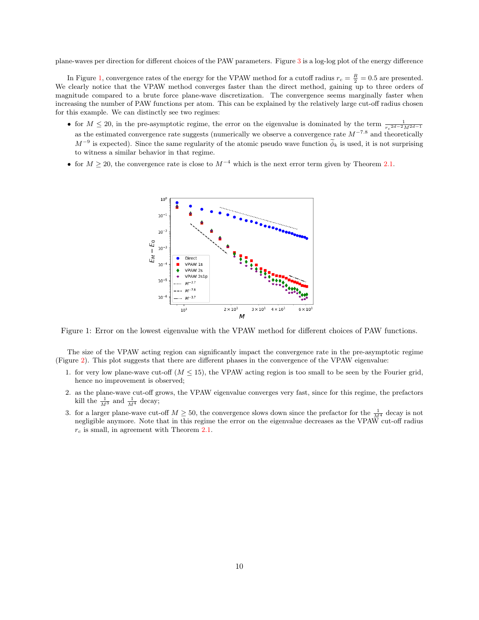plane-waves per direction for different choices of the PAW parameters. Figure [3](#page-10-1) is a log-log plot of the energy difference

In Figure [1,](#page-9-0) convergence rates of the energy for the VPAW method for a cutoff radius  $r_c = \frac{R}{2} = 0.5$  are presented. We clearly notice that the VPAW method converges faster than the direct method, gaining up to three orders of magnitude compared to a brute force plane-wave discretization. The convergence seems marginally faster when increasing the number of PAW functions per atom. This can be explained by the relatively large cut-off radius chosen for this example. We can distinctly see two regimes:

- for  $M \leq 20$ , in the pre-asymptotic regime, the error on the eigenvalue is dominated by the term  $\frac{1}{r_c^{2d-2}M^{2d-1}}$ as the estimated convergence rate suggests (numerically we observe a convergence rate  $M^{-7.8}$  and theoretically  $M^{-9}$  is expected). Since the same regularity of the atomic pseudo wave function  $\widetilde{\phi}_k$  is used, it is not surprising to witness a similar behavior in that regime.
- <span id="page-9-0"></span>• for  $M \ge 20$ , the convergence rate is close to  $M^{-4}$  which is the next error term given by Theorem [2.1.](#page-7-1)



Figure 1: Error on the lowest eigenvalue with the VPAW method for different choices of PAW functions.

The size of the VPAW acting region can significantly impact the convergence rate in the pre-asymptotic regime (Figure [2\)](#page-10-0). This plot suggests that there are different phases in the convergence of the VPAW eigenvalue:

- 1. for very low plane-wave cut-off  $(M < 15)$ , the VPAW acting region is too small to be seen by the Fourier grid, hence no improvement is observed;
- 2. as the plane-wave cut-off grows, the VPAW eigenvalue converges very fast, since for this regime, the prefactors kill the  $\frac{1}{M^3}$  and  $\frac{1}{M^4}$  decay;
- 3. for a larger plane-wave cut-off  $M \ge 50$ , the convergence slows down since the prefactor for the  $\frac{1}{M^4}$  decay is not negligible anymore. Note that in this regime the error on the eigenvalue decreases as the VPAW cut-off radius  $r_c$  is small, in agreement with Theorem [2.1.](#page-7-1)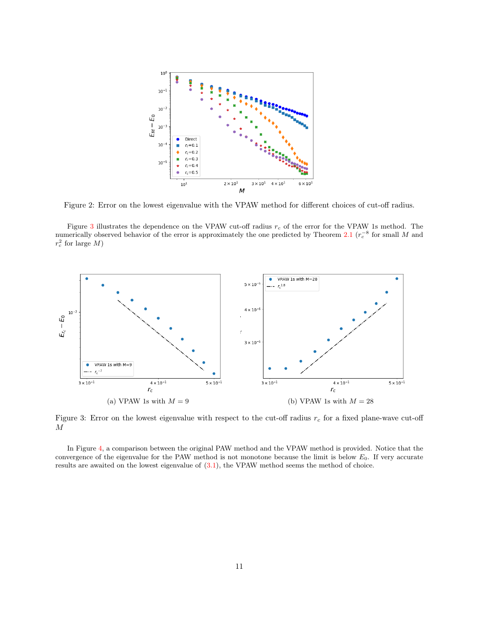<span id="page-10-0"></span>

Figure 2: Error on the lowest eigenvalue with the VPAW method for different choices of cut-off radius.

Figure [3](#page-10-1) illustrates the dependence on the VPAW cut-off radius  $r_c$  of the error for the VPAW 1s method. The numerically observed behavior of the error is approximately the one predicted by Theorem [2.1](#page-7-1) ( $r_c^{-8}$  for small M and  $r_c^2$  for large M)

<span id="page-10-1"></span>

Figure 3: Error on the lowest eigenvalue with respect to the cut-off radius  $r_c$  for a fixed plane-wave cut-off M

In Figure [4,](#page-11-1) a comparison between the original PAW method and the VPAW method is provided. Notice that the convergence of the eigenvalue for the PAW method is not monotone because the limit is below  $E_0$ . If very accurate results are awaited on the lowest eigenvalue of [\(3.1\)](#page-8-1), the VPAW method seems the method of choice.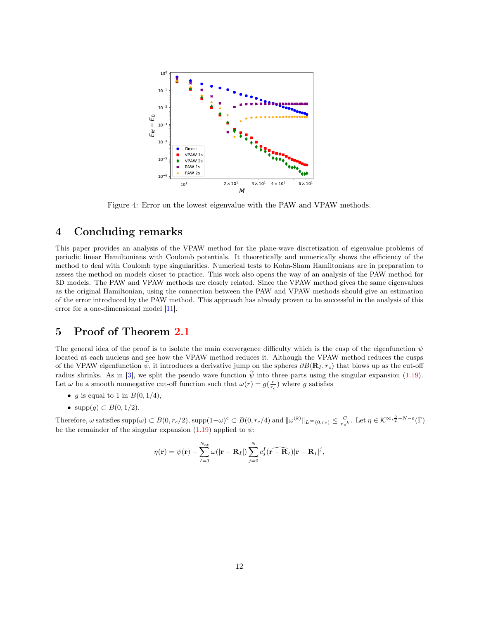<span id="page-11-1"></span>

Figure 4: Error on the lowest eigenvalue with the PAW and VPAW methods.

### 4 Concluding remarks

This paper provides an analysis of the VPAW method for the plane-wave discretization of eigenvalue problems of periodic linear Hamiltonians with Coulomb potentials. It theoretically and numerically shows the efficiency of the method to deal with Coulomb type singularities. Numerical tests to Kohn-Sham Hamiltonians are in preparation to assess the method on models closer to practice. This work also opens the way of an analysis of the PAW method for 3D models. The PAW and VPAW methods are closely related. Since the VPAW method gives the same eigenvalues as the original Hamiltonian, using the connection between the PAW and VPAW methods should give an estimation of the error introduced by the PAW method. This approach has already proven to be successful in the analysis of this error for a one-dimensional model [\[11\]](#page-27-6).

### <span id="page-11-0"></span>5 Proof of Theorem [2.1](#page-7-1)

The general idea of the proof is to isolate the main convergence difficulty which is the cusp of the eigenfunction  $\psi$ located at each nucleus and see how the VPAW method reduces it. Although the VPAW method reduces the cusps of the VPAW eigenfunction  $\psi$ , it introduces a derivative jump on the spheres  $\partial B(\mathbf{R}_I, r_c)$  that blows up as the cut-off radius shrinks. As in [\[3\]](#page-27-4), we split the pseudo wave function  $\tilde{\psi}$  into three parts using the singular expansion [\(1.19\)](#page-6-2). Let  $\omega$  be a smooth nonnegative cut-off function such that  $\omega(r) = g(\frac{r}{r_c})$  where g satisfies

- g is equal to 1 in  $B(0, 1/4)$ ,
- $supp(g) \subset B(0, 1/2)$ .

Therefore,  $\omega$  satisfies  $\text{supp}(\omega) \subset B(0, r_c/2)$ ,  $\text{supp}(1-\omega)^c \subset B(0, r_c/4)$  and  $\|\omega^{(k)}\|_{L^{\infty}(0, r_c)} \leq \frac{C}{r_c^k}$ . Let  $\eta \in \mathcal{K}^{\infty, \frac{5}{2} + N - \varepsilon}(\Gamma)$ be the remainder of the singular expansion [\(1.19\)](#page-6-2) applied to  $\psi$ :

$$
\eta(\mathbf{r}) = \psi(\mathbf{r}) - \sum_{I=1}^{N_{\text{at}}} \omega(|\mathbf{r} - \mathbf{R}_I|) \sum_{j=0}^{N} c_j^I(\widehat{\mathbf{r} - \mathbf{R}_I}) |\mathbf{r} - \mathbf{R}_I|^j,
$$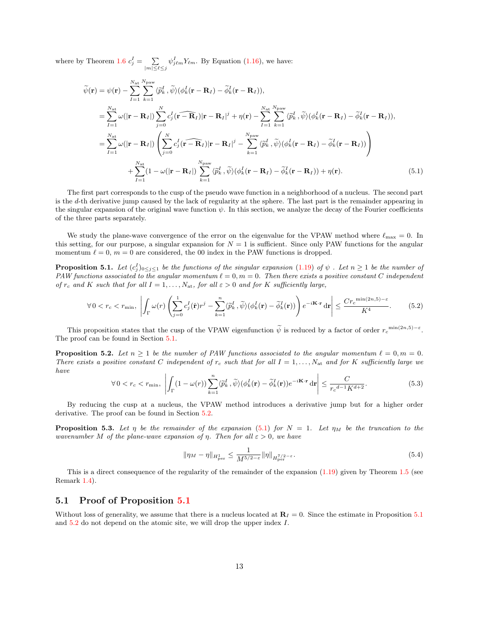where by Theorem [1.6](#page-6-0)  $c_j^I = \sum_{|m| \leq \ell \leq j} \psi_{j\ell m}^I Y_{\ell m}$ . By Equation [\(1.16\)](#page-4-4), we have:

<span id="page-12-3"></span>
$$
\tilde{\psi}(\mathbf{r}) = \psi(\mathbf{r}) - \sum_{I=1}^{N_{\text{at}}} \sum_{k=1}^{N_{\text{paw}}} \langle \tilde{p}_k^I, \tilde{\psi} \rangle (\phi_k^I(\mathbf{r} - \mathbf{R}_I) - \tilde{\phi}_k^I(\mathbf{r} - \mathbf{R}_I)),
$$
\n
$$
= \sum_{I=1}^{N_{\text{at}}} \omega(|\mathbf{r} - \mathbf{R}_I|) \sum_{j=0}^{N} c_j^I(\mathbf{r} - \mathbf{R}_I)|\mathbf{r} - \mathbf{R}_I|^j + \eta(\mathbf{r}) - \sum_{I=1}^{N_{\text{at}}} \sum_{k=1}^{N_{\text{paw}}} \langle \tilde{p}_k^I, \tilde{\psi} \rangle (\phi_k^I(\mathbf{r} - \mathbf{R}_I) - \tilde{\phi}_k^I(\mathbf{r} - \mathbf{R}_I)),
$$
\n
$$
= \sum_{I=1}^{N_{\text{at}}} \omega(|\mathbf{r} - \mathbf{R}_I|) \left( \sum_{j=0}^{N} c_j^I(\mathbf{r} - \mathbf{R}_I)|\mathbf{r} - \mathbf{R}_I|^j - \sum_{k=1}^{N_{\text{paw}}} \langle \tilde{p}_k^I, \tilde{\psi} \rangle (\phi_k^I(\mathbf{r} - \mathbf{R}_I) - \tilde{\phi}_k^I(\mathbf{r} - \mathbf{R}_I)) \right)
$$
\n
$$
+ \sum_{I=1}^{N_{\text{at}}} (1 - \omega(|\mathbf{r} - \mathbf{R}_I|) \sum_{k=1}^{N_{\text{paw}}} \langle \tilde{p}_k^I, \tilde{\psi} \rangle (\phi_k^I(\mathbf{r} - \mathbf{R}_I) - \tilde{\phi}_k^I(\mathbf{r} - \mathbf{R}_I)) + \eta(\mathbf{r}). \tag{5.1}
$$

The first part corresponds to the cusp of the pseudo wave function in a neighborhood of a nucleus. The second part is the d-th derivative jump caused by the lack of regularity at the sphere. The last part is the remainder appearing in the singular expansion of the original wave function  $\psi$ . In this section, we analyze the decay of the Fourier coefficients of the three parts separately.

We study the plane-wave convergence of the error on the eigenvalue for the VPAW method where  $\ell_{\rm max} = 0$ . In this setting, for our purpose, a singular expansion for  $N = 1$  is sufficient. Since only PAW functions for the angular momentum  $\ell = 0$ ,  $m = 0$  are considered, the 00 index in the PAW functions is dropped.

<span id="page-12-0"></span>**Proposition 5.1.** Let  $(c_j^I)_{0 \le j \le 1}$  be the functions of the singular expansion [\(1.19\)](#page-6-2) of  $\psi$  . Let  $n \ge 1$  be the number of PAW functions associated to the angular momentum  $\ell = 0, m = 0$ . Then there exists a positive constant C independent of  $r_c$  and K such that for all  $I = 1, \ldots, N_{at}$ , for all  $\varepsilon > 0$  and for K sufficiently large,

$$
\forall 0 < r_c < r_{\min}, \ \left| \int_{\Gamma} \omega(r) \left( \sum_{j=0}^{1} c_j^I(\hat{\mathbf{r}}) r^j - \sum_{k=1}^n \langle \tilde{p}_k^I, \tilde{\psi} \rangle (\phi_k^I(\mathbf{r}) - \tilde{\phi}_k^I(\mathbf{r})) \right) e^{-i\mathbf{K} \cdot \mathbf{r}} \, d\mathbf{r} \right| \leq \frac{Cr_c^{\min(2n,5)-\varepsilon}}{K^4}.
$$
\n(5.2)

This proposition states that the cusp of the VPAW eigenfunction  $\tilde{\psi}$  is reduced by a factor of order  $r_c^{\min(2n,5)-\varepsilon}$ . The proof can be found in Section [5.1.](#page-12-2)

<span id="page-12-1"></span>**Proposition 5.2.** Let  $n \geq 1$  be the number of PAW functions associated to the angular momentum  $\ell = 0, m = 0$ . There exists a positive constant C independent of  $r_c$  such that for all  $I = 1, \ldots, N_{at}$  and for K sufficiently large we have

$$
\forall 0 < r_c < r_{\min}, \ \left| \int_{\Gamma} (1 - \omega(r)) \sum_{k=1}^n \langle \widetilde{p}_k^I, \widetilde{\psi} \rangle (\phi_k^I(\mathbf{r}) - \widetilde{\phi}_k^I(\mathbf{r})) e^{-i\mathbf{K} \cdot \mathbf{r}} \, \mathrm{d}\mathbf{r} \right| \le \frac{C}{r_c^{d-1} K^{d+2}}.
$$

By reducing the cusp at a nucleus, the VPAW method introduces a derivative jump but for a higher order derivative. The proof can be found in Section [5.2.](#page-18-0)

<span id="page-12-4"></span>**Proposition 5.3.** Let  $\eta$  be the remainder of the expansion [\(5.1\)](#page-12-3) for  $N = 1$ . Let  $\eta_M$  be the truncation to the wavenumber M of the plane-wave expansion of  $\eta$ . Then for all  $\varepsilon > 0$ , we have

$$
\|\eta_M - \eta\|_{H^1_{\text{per}}} \le \frac{1}{M^{5/2-\varepsilon}} \|\eta\|_{H^{7/2-\varepsilon}_{\text{per}}}.
$$
\n(5.4)

This is a direct consequence of the regularity of the remainder of the expansion [\(1.19\)](#page-6-2) given by Theorem [1.5](#page-6-3) (see Remark [1.4\)](#page-6-5).

#### <span id="page-12-2"></span>5.1 Proof of Proposition [5.1](#page-12-0)

Without loss of generality, we assume that there is a nucleus located at  $\mathbf{R}_I = 0$ . Since the estimate in Proposition [5.1](#page-12-0) and [5.2](#page-12-1) do not depend on the atomic site, we will drop the upper index I.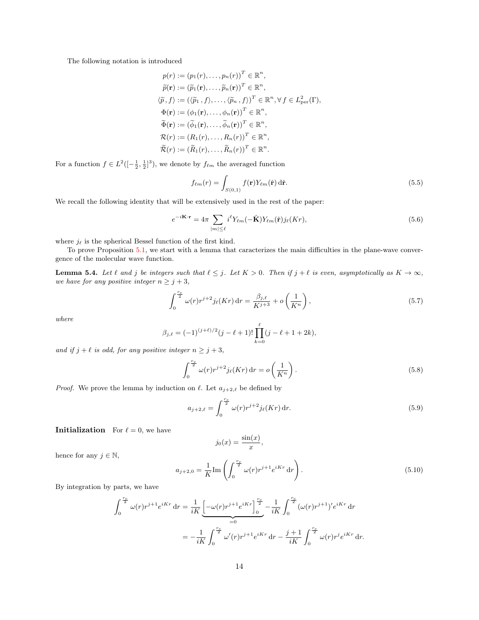The following notation is introduced

$$
p(r) := (p_1(r), \dots, p_n(r))^T \in \mathbb{R}^n,
$$
  
\n
$$
\widetilde{p}(\mathbf{r}) := (\widetilde{p}_1(\mathbf{r}), \dots, \widetilde{p}_n(\mathbf{r}))^T \in \mathbb{R}^n,
$$
  
\n
$$
\langle \widetilde{p}, f \rangle := (\langle \widetilde{p}_1, f \rangle, \dots, \langle \widetilde{p}_n, f \rangle)^T \in \mathbb{R}^n, \forall f \in L^2_{\text{per}}(\Gamma),
$$
  
\n
$$
\Phi(\mathbf{r}) := (\phi_1(\mathbf{r}), \dots, \phi_n(\mathbf{r}))^T \in \mathbb{R}^n,
$$
  
\n
$$
\widetilde{\Phi}(\mathbf{r}) := (\widetilde{\phi}_1(\mathbf{r}), \dots, \widetilde{\phi}_n(\mathbf{r}))^T \in \mathbb{R}^n,
$$
  
\n
$$
\mathcal{R}(r) := (R_1(r), \dots, R_n(r))^T \in \mathbb{R}^n,
$$
  
\n
$$
\widetilde{\mathcal{R}}(r) := (\widetilde{R}_1(r), \dots, \widetilde{R}_n(r))^T \in \mathbb{R}^n.
$$

For a function  $f \in L^2([-\frac{1}{2}, \frac{1}{2}]^3)$ , we denote by  $f_{\ell m}$  the averaged function

<span id="page-13-3"></span>
$$
f_{\ell m}(r) = \int_{S(0,1)} f(\mathbf{r}) Y_{\ell m}(\hat{\mathbf{r}}) d\hat{\mathbf{r}}.
$$
 (5.5)

We recall the following identity that will be extensively used in the rest of the paper:

<span id="page-13-1"></span>
$$
e^{-i\mathbf{K}\cdot\mathbf{r}} = 4\pi \sum_{|m| \leq \ell} i^{\ell} Y_{\ell m}(-\hat{\mathbf{K}}) Y_{\ell m}(\hat{\mathbf{r}}) j_{\ell}(Kr), \qquad (5.6)
$$

where  $j_\ell$  is the spherical Bessel function of the first kind.

To prove Proposition [5.1,](#page-12-0) we start with a lemma that caracterizes the main difficulties in the plane-wave convergence of the molecular wave function.

<span id="page-13-0"></span>**Lemma 5.4.** Let  $\ell$  and j be integers such that  $\ell \leq j$ . Let  $K > 0$ . Then if  $j + \ell$  is even, asymptotically as  $K \to \infty$ , we have for any positive integer  $n \geq j+3$ ,

$$
\int_0^{\frac{r_c}{2}} \omega(r) r^{j+2} j_\ell(Kr) \, dr = \frac{\beta_{j,\ell}}{K^{j+3}} + o\left(\frac{1}{K^n}\right),\tag{5.7}
$$

where

$$
\beta_{j,\ell} = (-1)^{(j+\ell)/2} (j-\ell+1)! \prod_{k=0}^{\ell} (j-\ell+1+2k),
$$

and if  $j + \ell$  is odd, for any positive integer  $n \geq j + 3$ ,

$$
\int_0^{\frac{r_c}{2}} \omega(r) r^{j+2} j_\ell(Kr) dr = o\left(\frac{1}{K^n}\right).
$$
\n(5.8)

*Proof.* We prove the lemma by induction on  $\ell$ . Let  $a_{j+2,\ell}$  be defined by

$$
a_{j+2,\ell} = \int_0^{\frac{r_c}{2}} \omega(r) r^{j+2} j_\ell(Kr) \, dr.
$$
 (5.9)

**Initialization** For  $\ell = 0$ , we have

$$
j_0(x) = \frac{\sin(x)}{x},
$$

hence for any  $j \in \mathbb{N}$ ,

<span id="page-13-2"></span>
$$
a_{j+2,0} = \frac{1}{K} \text{Im} \left( \int_0^{\frac{r_c}{2}} \omega(r) r^{j+1} e^{iKr} \, dr \right).
$$
 (5.10)

By integration by parts, we have

$$
\int_0^{\frac{r_c}{2}} \omega(r) r^{j+1} e^{iKr} dr = \frac{1}{iK} \underbrace{\left[ -\omega(r) r^{j+1} e^{iKr} \right]_0^{\frac{r_c}{2}}}_{=0} - \frac{1}{iK} \int_0^{\frac{r_c}{2}} (\omega(r) r^{j+1})' e^{iKr} dr
$$
\n
$$
= -\frac{1}{iK} \int_0^{\frac{r_c}{2}} \omega'(r) r^{j+1} e^{iKr} dr - \frac{j+1}{iK} \int_0^{\frac{r_c}{2}} \omega(r) r^j e^{iKr} dr.
$$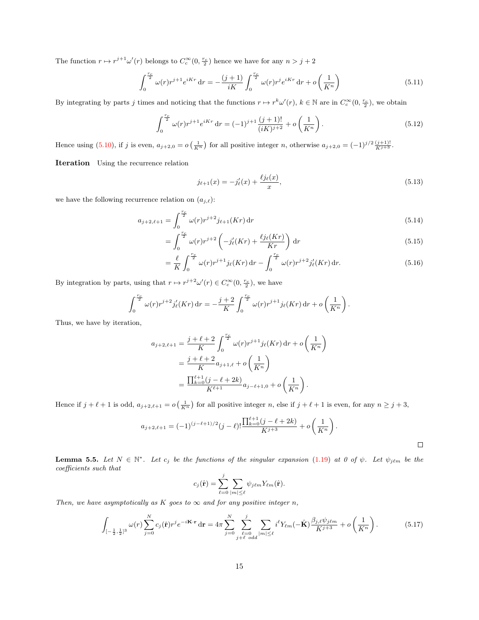The function  $r \mapsto r^{j+1} \omega'(r)$  belongs to  $C_c^{\infty}(0, \frac{r_c}{2})$  hence we have for any  $n > j + 2$ 

$$
\int_0^{\frac{r_c}{2}} \omega(r) r^{j+1} e^{iKr} \, dr = -\frac{(j+1)}{iK} \int_0^{\frac{r_c}{2}} \omega(r) r^j e^{iKr} \, dr + o\left(\frac{1}{K^n}\right) \tag{5.11}
$$

By integrating by parts j times and noticing that the functions  $r \mapsto r^k \omega'(r)$ ,  $k \in \mathbb{N}$  are in  $C_c^{\infty}(0, \frac{r_c}{2})$ , we obtain

$$
\int_0^{\frac{r_c}{2}} \omega(r) r^{j+1} e^{iKr} \, \mathrm{d}r = (-1)^{j+1} \frac{(j+1)!}{(iK)^{j+2}} + o\left(\frac{1}{K^n}\right). \tag{5.12}
$$

Hence using [\(5.10\)](#page-13-2), if j is even,  $a_{j+2,0} = o\left(\frac{1}{K^n}\right)$  for all positive integer n, otherwise  $a_{j+2,0} = (-1)^{j/2} \frac{(j+1)!}{K^{j+3}}$ .

Iteration Using the recurrence relation

$$
j_{\ell+1}(x) = -j'_{\ell}(x) + \frac{\ell j_{\ell}(x)}{x},\tag{5.13}
$$

we have the following recurrence relation on  $(a_{j,\ell})$ :

$$
a_{j+2,\ell+1} = \int_0^{\frac{r_c}{2}} \omega(r) r^{j+2} j_{\ell+1}(Kr) \, \mathrm{d}r \tag{5.14}
$$

$$
=\int_0^{\frac{r_c}{2}} \omega(r)r^{j+2}\left(-j_\ell'(Kr) + \frac{\ell j_\ell(Kr)}{Kr}\right) \mathrm{d}r\tag{5.15}
$$

$$
= \frac{\ell}{K} \int_0^{\frac{r_c}{2}} \omega(r) r^{j+1} j_\ell(Kr) dr - \int_0^{\frac{r_c}{2}} \omega(r) r^{j+2} j'_\ell(Kr) dr.
$$
 (5.16)

By integration by parts, using that  $r \mapsto r^{j+2}\omega'(r) \in C_c^{\infty}(0, \frac{r_c}{2})$ , we have

$$
\int_0^{\frac{r_c}{2}} \omega(r) r^{j+2} j_{\ell}'(Kr) dr = -\frac{j+2}{K} \int_0^{\frac{r_c}{2}} \omega(r) r^{j+1} j_{\ell}(Kr) dr + o\left(\frac{1}{K^n}\right).
$$

Thus, we have by iteration,

$$
a_{j+2,\ell+1} = \frac{j+\ell+2}{K} \int_0^{\frac{r_c}{2}} \omega(r) r^{j+1} j_{\ell}(Kr) dr + o\left(\frac{1}{K^n}\right)
$$
  
= 
$$
\frac{j+\ell+2}{K} a_{j+1,\ell} + o\left(\frac{1}{K^n}\right)
$$
  
= 
$$
\frac{\prod_{k=0}^{\ell+1} (j-\ell+2k)}{K^{\ell+1}} a_{j-\ell+1,0} + o\left(\frac{1}{K^n}\right).
$$

Hence if  $j + \ell + 1$  is odd,  $a_{j+2,\ell+1} = o\left(\frac{1}{K^n}\right)$  for all positive integer n, else if  $j + \ell + 1$  is even, for any  $n \geq j+3$ ,

$$
a_{j+2,\ell+1} = (-1)^{(j-\ell+1)/2} (j-\ell)! \frac{\prod_{k=0}^{\ell+1} (j-\ell+2k)}{K^{j+3}} + o\left(\frac{1}{K^n}\right).
$$

<span id="page-14-0"></span>**Lemma 5.5.** Let  $N \in \mathbb{N}^*$ . Let  $c_j$  be the functions of the singular expansion [\(1.19\)](#page-6-2) at 0 of  $\psi$ . Let  $\psi_{j\ell m}$  be the coefficients such that

$$
c_j(\hat{\mathbf{r}}) = \sum_{\ell=0}^j \sum_{|m| \leq \ell} \psi_{j\ell m} Y_{\ell m}(\hat{\mathbf{r}}).
$$

Then, we have asymptotically as K goes to  $\infty$  and for any positive integer n,

$$
\int_{\left[-\frac{1}{2},\frac{1}{2}\right]^{3}} \omega(r) \sum_{j=0}^{N} c_{j}(\hat{\mathbf{r}}) r^{j} e^{-i\mathbf{K}\cdot\mathbf{r}} \, \mathrm{d}\mathbf{r} = 4\pi \sum_{j=0}^{N} \sum_{\substack{\ell=0 \ j+\ell \ \text{odd}}} \sum_{|m| \leq \ell} i^{\ell} Y_{\ell m}(-\hat{\mathbf{K}}) \frac{\beta_{j,\ell} \psi_{j\ell m}}{K^{j+3}} + o\left(\frac{1}{K^{n}}\right). \tag{5.17}
$$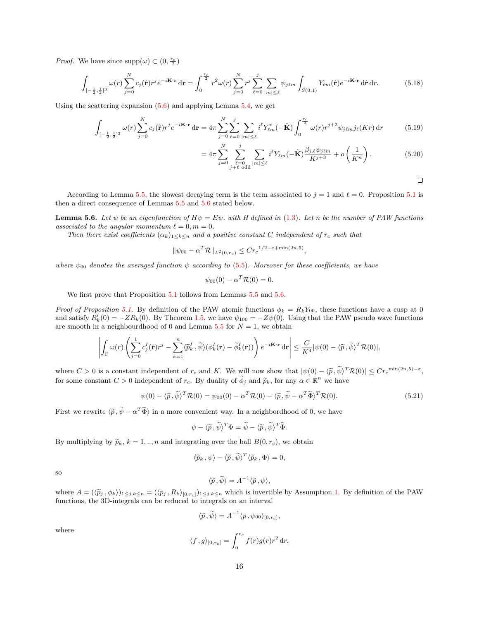*Proof.* We have since  $\text{supp}(\omega) \subset (0, \frac{r_c}{2})$ 

$$
\int_{\left[-\frac{1}{2},\frac{1}{2}\right]^3} \omega(r) \sum_{j=0}^N c_j(\hat{\mathbf{r}}) r^j e^{-i\mathbf{K}\cdot\mathbf{r}} \, \mathrm{d}\mathbf{r} = \int_0^{\frac{r_c}{2}} r^2 \omega(r) \sum_{j=0}^N r^j \sum_{\ell=0}^j \sum_{|m| \leq \ell} \psi_{j\ell m} \int_{S(0,1)} Y_{\ell m}(\hat{\mathbf{r}}) e^{-i\mathbf{K}\cdot\mathbf{r}} \, \mathrm{d}\hat{\mathbf{r}} \, \mathrm{d}r. \tag{5.18}
$$

Using the scattering expansion [\(5.6\)](#page-13-1) and applying Lemma [5.4,](#page-13-0) we get

$$
\int_{[-\frac{1}{2},\frac{1}{2}]^3} \omega(r) \sum_{j=0}^N c_j(\hat{\mathbf{r}}) r^j e^{-i\mathbf{K}\cdot\mathbf{r}} \, \mathrm{d}\mathbf{r} = 4\pi \sum_{j=0}^N \sum_{\ell=0}^j \sum_{|m| \leq \ell} i^{\ell} Y_{\ell m}^* (-\hat{\mathbf{K}}) \int_0^{\frac{r_c}{2}} \omega(r) r^{j+2} \psi_{j\ell m} j_{\ell}(Kr) \, \mathrm{d}r \tag{5.19}
$$

$$
=4\pi\sum_{j=0}^{N}\sum_{\substack{\ell=0\\j+\ell \text{ odd}}}^{j} \sum_{|m|\leq \ell} i^{\ell} Y_{\ell m}(-\hat{\mathbf{K}}) \frac{\beta_{j,\ell}\psi_{j\ell m}}{K^{j+3}} + o\left(\frac{1}{K^{n}}\right). \tag{5.20}
$$

 $\Box$ 

According to Lemma [5.5,](#page-14-0) the slowest decaying term is the term associated to  $j = 1$  and  $\ell = 0$ . Proposition [5.1](#page-12-0) is then a direct consequence of Lemmas [5.5](#page-14-0) and [5.6](#page-15-0) stated below.

<span id="page-15-0"></span>**Lemma 5.6.** Let  $\psi$  be an eigenfunction of  $H\psi = E\psi$ , with H defined in [\(1.3\)](#page-2-0). Let n be the number of PAW functions associated to the angular momentum  $\ell = 0, m = 0$ .

Then there exist coefficients  $(\alpha_k)_{1\leq k\leq n}$  and a positive constant C independent of  $r_c$  such that

$$
\|\psi_{00} - \alpha^T \mathcal{R}\|_{L^2(0,r_c)} \leq C r_c^{1/2 - \varepsilon + \min(2n,5)},
$$

where  $\psi_{00}$  denotes the averaged function  $\psi$  according to [\(5.5\)](#page-13-3). Moreover for these coefficients, we have

$$
\psi_{00}(0) - \alpha^T \mathcal{R}(0) = 0.
$$

We first prove that Proposition [5.1](#page-12-0) follows from Lemmas [5.5](#page-14-0) and [5.6.](#page-15-0)

Proof of Proposition [5.1.](#page-12-0) By definition of the PAW atomic functions  $\phi_k = R_k Y_{00}$ , these functions have a cusp at 0 and satisfy  $R'_k(0) = -ZR_k(0)$ . By Theorem [1.5,](#page-6-3) we have  $\psi_{100} = -Z\psi(0)$ . Using that the PAW pseudo wave functions are smooth in a neighbourdhood of 0 and Lemma [5.5](#page-14-0) for  $N = 1$ , we obtain

$$
\left| \int_{\Gamma} \omega(r) \left( \sum_{j=0}^{1} c_j^I(\hat{\mathbf{r}}) r^j - \sum_{k=1}^{n} \langle \widetilde{p}_k^I , \widetilde{\psi} \rangle (\phi_k^I(\mathbf{r}) - \widetilde{\phi}_k^I(\mathbf{r})) \right) e^{-i\mathbf{K} \cdot \mathbf{r}} \, d\mathbf{r} \right| \leq \frac{C}{K^4} |\psi(0) - \langle \widetilde{p}, \widetilde{\psi} \rangle^T \mathcal{R}(0)|,
$$

where  $C > 0$  is a constant independent of  $r_c$  and K. We will now show that  $|\psi(0) - \langle \tilde{p}, \tilde{\psi} \rangle^T \mathcal{R}(0)| \leq C r_c^{\min(2n,5)-\varepsilon}$ , for some constant  $C > 0$  independent of  $r_c$ . By duality of  $\widetilde{\phi}_j$  and  $\widetilde{p}_k$ , for any  $\alpha \in \mathbb{R}^n$  we have

<span id="page-15-1"></span>
$$
\psi(0) - \langle \widetilde{p}, \widetilde{\psi} \rangle^T \mathcal{R}(0) = \psi_{00}(0) - \alpha^T \mathcal{R}(0) - \langle \widetilde{p}, \widetilde{\psi} - \alpha^T \widetilde{\Phi} \rangle^T \mathcal{R}(0). \tag{5.21}
$$

First we rewrite  $\langle \tilde{p}, \tilde{\psi} - \alpha^T \tilde{\Phi} \rangle$  in a more convenient way. In a neighbordhood of 0, we have

$$
\psi - \langle \widetilde{p}, \widetilde{\psi} \rangle^T \Phi = \widetilde{\psi} - \langle \widetilde{p}, \widetilde{\psi} \rangle^T \widetilde{\Phi}.
$$

By multiplying by  $\widetilde{p}_k$ ,  $k = 1, ..., n$  and integrating over the ball  $B(0, r_c)$ , we obtain

$$
\langle \widetilde{p}_k, \psi \rangle - \langle \widetilde{p}, \widetilde{\psi} \rangle^T \langle \widetilde{p}_k, \Phi \rangle = 0,
$$

so

$$
\langle \widetilde{p}, \widetilde{\psi} \rangle = A^{-1} \langle \widetilde{p}, \psi \rangle,
$$

where  $A = (\langle \widetilde{p}_j, \phi_k \rangle)_{1 \leq j,k \leq n} = (\langle p_j, R_k \rangle_{[0, r_c]})_{1 \leq j,k \leq n}$  which is invertible by Assumption [1.](#page-4-1) By definition of the PAW functions, the 3D-integrals can be reduced to integrals on an interval

$$
\langle \widetilde{p}, \widetilde{\psi} \rangle = A^{-1} \langle p, \psi_{00} \rangle_{[0, r_c]},
$$

where

$$
\langle f, g \rangle_{[0, r_c]} = \int_0^{r_c} f(r)g(r)r^2 dr.
$$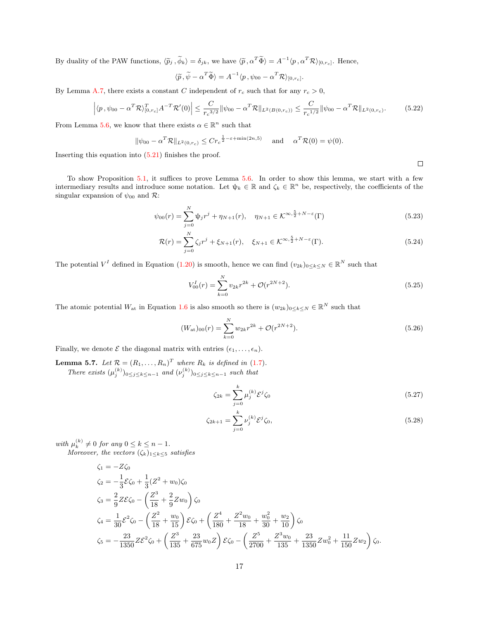By duality of the PAW functions,  $\langle \tilde{p}_j, \tilde{\phi}_k \rangle = \delta_{jk}$ , we have  $\langle \tilde{p}, \alpha^T \tilde{\Phi} \rangle = A^{-1} \langle p, \alpha^T \mathcal{R} \rangle_{[0, r_c]}$ . Hence,

$$
\langle \widetilde{p}, \widetilde{\psi} - \alpha^T \widetilde{\Phi} \rangle = A^{-1} \langle p, \psi_{00} - \alpha^T \mathcal{R} \rangle_{[0, r_c]}.
$$

By Lemma [A.7,](#page-23-0) there exists a constant C independent of  $r_c$  such that for any  $r_c > 0$ ,

$$
\left| \langle p, \psi_{00} - \alpha^T \mathcal{R} \rangle_{[0, r_c]}^T A^{-T} \mathcal{R}'(0) \right| \leq \frac{C}{r_c^{3/2}} \|\psi_{00} - \alpha^T \mathcal{R} \|_{L^2(B(0, r_c))} \leq \frac{C}{r_c^{1/2}} \|\psi_{00} - \alpha^T \mathcal{R} \|_{L^2(0, r_c)}.
$$
 (5.22)

From Lemma [5.6,](#page-15-0) we know that there exists  $\alpha \in \mathbb{R}^n$  such that

$$
\|\psi_{00} - \alpha^T \mathcal{R}\|_{L^2(0,r_c)} \leq C r_c^{\frac{1}{2} - \varepsilon + \min(2n,5)}
$$
 and  $\alpha^T \mathcal{R}(0) = \psi(0)$ .

Inserting this equation into  $(5.21)$  finishes the proof.

To show Proposition [5.1,](#page-12-0) it suffices to prove Lemma [5.6.](#page-15-0) In order to show this lemma, we start with a few intermediary results and introduce some notation. Let  $\psi_k \in \mathbb{R}$  and  $\zeta_k \in \mathbb{R}^n$  be, respectively, the coefficients of the singular expansion of  $\psi_{00}$  and  $\mathcal{R}$ :

$$
\psi_{00}(r) = \sum_{j=0}^{N} \psi_j r^j + \eta_{N+1}(r), \quad \eta_{N+1} \in \mathcal{K}^{\infty, \frac{5}{2} + N - \varepsilon}(\Gamma)
$$
\n(5.23)

$$
\mathcal{R}(r) = \sum_{j=0}^{N} \zeta_j r^j + \xi_{N+1}(r), \quad \xi_{N+1} \in \mathcal{K}^{\infty, \frac{5}{2} + N - \varepsilon}(\Gamma). \tag{5.24}
$$

The potential  $V^I$  defined in Equation [\(1.20\)](#page-6-6) is smooth, hence we can find  $(v_{2k})_{0\leq k\leq N} \in \mathbb{R}^N$  such that

$$
V_{00}^I(r) = \sum_{k=0}^N v_{2k} r^{2k} + \mathcal{O}(r^{2N+2}).
$$
\n(5.25)

The atomic potential  $W_{at}$  in Equation [1.6](#page-2-1) is also smooth so there is  $(w_{2k})_{0\leq k\leq N} \in \mathbb{R}^N$  such that

<span id="page-16-1"></span>
$$
(W_{\rm at})_{00}(r) = \sum_{k=0}^{N} w_{2k} r^{2k} + \mathcal{O}(r^{2N+2}).
$$
\n(5.26)

Finally, we denote  $\mathcal E$  the diagonal matrix with entries  $(\epsilon_1, \ldots, \epsilon_n)$ .

<span id="page-16-2"></span>**Lemma 5.7.** Let  $\mathcal{R} = (R_1, \ldots, R_n)^T$  where  $R_k$  is defined in [\(1.7\)](#page-3-0). There exists  $(\mu_j^{(k)})_{0 \leq j \leq k \leq n-1}$  and  $(\nu_j^{(k)})_{0 \leq j \leq k \leq n-1}$  such that

$$
\zeta_{2k} = \sum_{j=0}^{k} \mu_j^{(k)} \mathcal{E}^j \zeta_0 \tag{5.27}
$$

$$
\zeta_{2k+1} = \sum_{j=0}^{k} \nu_j^{(k)} \mathcal{E}^j \zeta_0,\tag{5.28}
$$

with  $\mu_k^{(k)} \neq 0$  for any  $0 \leq k \leq n-1$ .

Moreover, the vectors 
$$
(\zeta_k)_{1 \leq k \leq 5}
$$
 satisfies

$$
\zeta_1 = -Z\zeta_0
$$
  
\n
$$
\zeta_2 = -\frac{1}{3}\mathcal{E}\zeta_0 + \frac{1}{3}(Z^2 + w_0)\zeta_0
$$
  
\n
$$
\zeta_3 = \frac{2}{9}Z\mathcal{E}\zeta_0 - \left(\frac{Z^3}{18} + \frac{2}{9}Zw_0\right)\zeta_0
$$
  
\n
$$
\zeta_4 = \frac{1}{30}\mathcal{E}^2\zeta_0 - \left(\frac{Z^2}{18} + \frac{w_0}{15}\right)\mathcal{E}\zeta_0 + \left(\frac{Z^4}{180} + \frac{Z^2w_0}{18} + \frac{w_0^2}{30} + \frac{w_2}{10}\right)\zeta_0
$$
  
\n
$$
\zeta_5 = -\frac{23}{1350}Z\mathcal{E}^2\zeta_0 + \left(\frac{Z^3}{135} + \frac{23}{675}w_0Z\right)\mathcal{E}\zeta_0 - \left(\frac{Z^5}{2700} + \frac{Z^3w_0}{135} + \frac{23}{1350}Zw_0^2 + \frac{11}{150}Zw_2\right)\zeta_0.
$$

<span id="page-16-0"></span> $\Box$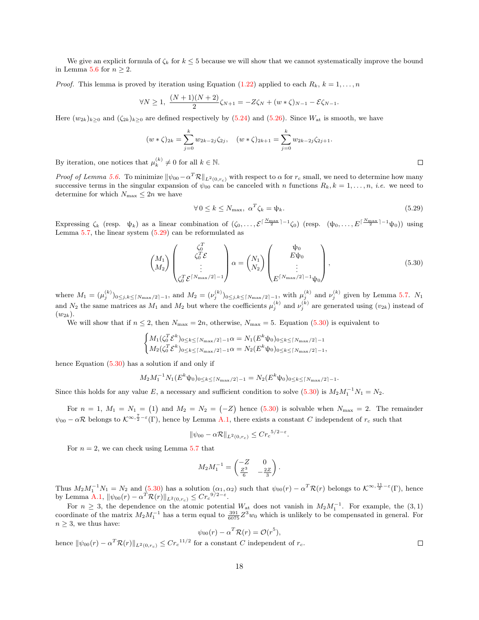We give an explicit formula of  $\zeta_k$  for  $k \leq 5$  because we will show that we cannot systematically improve the bound in Lemma [5.6](#page-15-0) for  $n \geq 2$ .

*Proof.* This lemma is proved by iteration using Equation [\(1.22\)](#page-6-7) applied to each  $R_k$ ,  $k = 1, \ldots, n$ 

$$
\forall N \ge 1, \ \frac{(N+1)(N+2)}{2}\zeta_{N+1} = -Z\zeta_N + (w*\zeta)_{N-1} - \mathcal{E}\zeta_{N-1}.
$$

Here  $(w_{2k})_{k>0}$  and  $(\zeta_{2k})_{k>0}$  are defined respectively by [\(5.24\)](#page-16-0) and [\(5.26\)](#page-16-1). Since  $W_{\text{at}}$  is smooth, we have

$$
(w*\zeta)_{2k} = \sum_{j=0}^{k} w_{2k-2j}\zeta_{2j}, \quad (w*\zeta)_{2k+1} = \sum_{j=0}^{k} w_{2k-2j}\zeta_{2j+1}.
$$

By iteration, one notices that  $\mu_k^{(k)} \neq 0$  for all  $k \in \mathbb{N}$ .

Proof of Lemma [5.6.](#page-15-0) To minimize  $\|\psi_{00} - \alpha^T \mathcal{R}\|_{L^2(0,r_c)}$  with respect to  $\alpha$  for  $r_c$  small, we need to determine how many successive terms in the singular expansion of  $\psi_{00}$  can be canceled with n functions  $R_k, k = 1, \ldots, n$ , *i.e.* we need to determine for which  $N_{\text{max}} \leq 2n$  we have

<span id="page-17-0"></span>
$$
\forall 0 \le k \le N_{\text{max}}, \ \alpha^T \zeta_k = \psi_k. \tag{5.29}
$$

Expressing  $\zeta_k$  (resp.  $\psi_k$ ) as a linear combination of  $(\zeta_0, \ldots, \mathcal{E}^{\lceil \frac{N_{\text{max}}}{2} \rceil - 1} \zeta_0)$  (resp.  $(\psi_0, \ldots, E^{\lceil \frac{N_{\text{max}}}{2} \rceil - 1} \psi_0)$ ) using Lemma  $5.7$ , the linear system  $(5.29)$  can be reformulated as

<span id="page-17-1"></span>
$$
\begin{pmatrix} M_1 \\ M_2 \end{pmatrix} \begin{pmatrix} \zeta_0^T \\ \zeta_0^T \mathcal{E} \\ \vdots \\ \zeta_0^T \mathcal{E}^{\lceil N_{\text{max}}/2 \rceil - 1} \end{pmatrix} \alpha = \begin{pmatrix} N_1 \\ N_2 \end{pmatrix} \begin{pmatrix} \psi_0 \\ E \psi_0 \\ \vdots \\ E^{\lceil N_{\text{max}}/2 \rceil - 1} \psi_0 \end{pmatrix},
$$
\n(5.30)

where  $M_1 = (\mu_j^{(k)})_{0 \le j,k \le \lceil N_{\text{max}}/2 \rceil-1}$ , and  $M_2 = (\nu_j^{(k)})_{0 \le j,k \le \lceil N_{\text{max}}/2 \rceil-1}$ , with  $\mu_j^{(k)}$  and  $\nu_j^{(k)}$  given by Lemma [5.7.](#page-16-2)  $N_1$ and  $N_2$  the same matrices as  $M_1$  and  $M_2$  but where the coefficients  $\mu_j^{(k)}$  and  $\nu_j^{(k)}$  are generated using  $(v_{2k})$  instead of  $(w_{2k}).$ 

We will show that if  $n \leq 2$ , then  $N_{\text{max}} = 2n$ , otherwise,  $N_{\text{max}} = 5$ . Equation [\(5.30\)](#page-17-1) is equivalent to

$$
\begin{cases} M_1(\zeta_0^T \mathcal{E}^k)_{0 \le k \le \lceil N_{\max}/2 \rceil - 1} \alpha = N_1(E^k \psi_0)_{0 \le k \le \lceil N_{\max}/2 \rceil - 1} \\ M_2(\zeta_0^T \mathcal{E}^k)_{0 \le k \le \lceil N_{\max}/2 \rceil - 1} \alpha = N_2(E^k \psi_0)_{0 \le k \le \lceil N_{\max}/2 \rceil - 1}, \end{cases}
$$

hence Equation [\(5.30\)](#page-17-1) has a solution if and only if

$$
M_2M_1^{-1}N_1(E^k\psi_0)_{0\leq k\leq \lceil N_{\max}/2\rceil-1}=N_2(E^k\psi_0)_{0\leq k\leq \lceil N_{\max}/2\rceil-1}.
$$

Since this holds for any value E, a necessary and sufficient condition to solve  $(5.30)$  is  $M_2M_1^{-1}N_1 = N_2$ .

For  $n = 1$ ,  $M_1 = N_1 = (1)$  and  $M_2 = N_2 = (-Z)$  hence [\(5.30\)](#page-17-1) is solvable when  $N_{\text{max}} = 2$ . The remainder  $\psi_{00} - \alpha \mathcal{R}$  belongs to  $\mathcal{K}^{\infty, \frac{7}{2} - \varepsilon}(\Gamma)$ , hence by Lemma [A.1,](#page-21-0) there exists a constant C independent of  $r_c$  such that

$$
\|\psi_{00} - \alpha \mathcal{R}\|_{L^2(0, r_c)} \leq C r_c^{5/2 - \varepsilon}.
$$

For  $n = 2$ , we can check using Lemma [5.7](#page-16-2) that

$$
M_2 M_1^{-1} = \begin{pmatrix} -Z & 0\\ \frac{Z^3}{6} & -\frac{2Z}{3} \end{pmatrix}.
$$

Thus  $M_2M_1^{-1}N_1 = N_2$  and [\(5.30\)](#page-17-1) has a solution  $(\alpha_1, \alpha_2)$  such that  $\psi_{00}(r) - \alpha^T \mathcal{R}(r)$  belongs to  $\mathcal{K}^{\infty, \frac{11}{2} - \varepsilon}(\Gamma)$ , hence by Lemma [A.1,](#page-21-0)  $\|\psi_{00}(r) - \alpha^T \mathcal{R}(r)\|_{L^2(0,r_c)} \leq C r_c^{9/2-\varepsilon}$ .

For  $n \geq 3$ , the dependence on the atomic potential  $W_{at}$  does not vanish in  $M_2M_1^{-1}$ . For example, the  $(3, 1)$ coordinate of the matrix  $M_2M_1^{-1}$  has a term equal to  $\frac{391}{6075}Z^3w_0$  which is unlikely to be compensated in general. For  $n \geq 3$ , we thus have:

$$
\psi_{00}(r)-\alpha^T\mathcal{R}(r)=\mathcal{O}(r^5),
$$

hence  $\|\psi_{00}(r) - \alpha^T \mathcal{R}(r)\|_{L^2(0,r_c)} \leq C r_c^{11/2}$  for a constant C independent of  $r_c$ .

 $\Box$ 

 $\Box$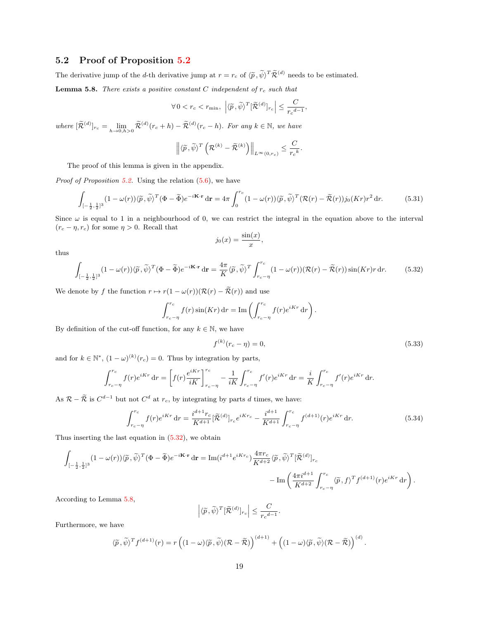### <span id="page-18-0"></span>5.2 Proof of Proposition [5.2](#page-12-1)

The derivative jump of the *d*-th derivative jump at  $r = r_c$  of  $\langle \tilde{p}, \tilde{\psi} \rangle^T \tilde{\mathcal{R}}^{(d)}$  needs to be estimated.

<span id="page-18-2"></span>**Lemma 5.8.** There exists a positive constant C independent of  $r_c$  such that

$$
\forall 0 < r_c < r_{\min}, \ \left| \langle \widetilde{p}, \widetilde{\psi} \rangle^T [\widetilde{\mathcal{R}}^{(d)}]_{r_c} \right| \leq \frac{C}{r_c^{d-1}},
$$

where  $[\widetilde{\mathcal{R}}^{(d)}]_{r_c} = \lim_{h \to 0, h > 0} \widetilde{\mathcal{R}}^{(d)}(r_c + h) - \widetilde{\mathcal{R}}^{(d)}(r_c - h)$ . For any  $k \in \mathbb{N}$ , we have

$$
\left\| \langle \widetilde{p}, \widetilde{\psi} \rangle^T \left( \mathcal{R}^{(k)} - \widetilde{\mathcal{R}}^{(k)} \right) \right\|_{L^{\infty}(0, r_c)} \leq \frac{C}{r_c^k}.
$$

The proof of this lemma is given in the appendix.

*Proof of Proposition [5.2.](#page-12-1)* Using the relation  $(5.6)$ , we have

$$
\int_{\left[-\frac{1}{2},\frac{1}{2}\right]^3} (1 - \omega(r)) \langle \widetilde{p}, \widetilde{\psi} \rangle^T (\Phi - \widetilde{\Phi}) e^{-i\mathbf{K} \cdot \mathbf{r}} \, \mathrm{d}\mathbf{r} = 4\pi \int_0^{r_c} (1 - \omega(r)) \langle \widetilde{p}, \widetilde{\psi} \rangle^T (\mathcal{R}(r) - \widetilde{\mathcal{R}}(r)) j_0(Kr) r^2 \, \mathrm{d}r. \tag{5.31}
$$

Since  $\omega$  is equal to 1 in a neighbourhood of 0, we can restrict the integral in the equation above to the interval  $(r_c - \eta, r_c)$  for some  $\eta > 0$ . Recall that

$$
j_0(x) = \frac{\sin(x)}{x},
$$

thus

<span id="page-18-1"></span>
$$
\int_{\left[-\frac{1}{2},\frac{1}{2}\right]^3} (1 - \omega(r)) \langle \tilde{p}, \tilde{\psi} \rangle^T (\Phi - \tilde{\Phi}) e^{-i\mathbf{K} \cdot \mathbf{r}} \, \mathrm{d}\mathbf{r} = \frac{4\pi}{K} \langle \tilde{p}, \tilde{\psi} \rangle^T \int_{r_c - \eta}^{r_c} (1 - \omega(r)) (\mathcal{R}(r) - \tilde{\mathcal{R}}(r)) \sin(Kr) r \, \mathrm{d}r. \tag{5.32}
$$

We denote by f the function  $r \mapsto r(1 - \omega(r))(\mathcal{R}(r) - \tilde{\mathcal{R}}(r))$  and use

$$
\int_{r_c - \eta}^{r_c} f(r) \sin(Kr) dr = \text{Im} \left( \int_{r_c - \eta}^{r_c} f(r) e^{iKr} dr \right).
$$

By definition of the cut-off function, for any  $k \in \mathbb{N}$ , we have

$$
f^{(k)}(r_c - \eta) = 0,\t\t(5.33)
$$

and for  $k \in \mathbb{N}^*$ ,  $(1 - \omega)^{(k)}(r_c) = 0$ . Thus by integration by parts,

$$
\int_{r_c - \eta}^{r_c} f(r)e^{iKr} dr = \left[ f(r) \frac{e^{iKr}}{iK} \right]_{r_c - \eta}^{r_c} - \frac{1}{iK} \int_{r_c - \eta}^{r_c} f'(r)e^{iKr} dr = \frac{i}{K} \int_{r_c - \eta}^{r_c} f'(r)e^{iKr} dr.
$$

As  $\mathcal{R} - \widetilde{\mathcal{R}}$  is  $C^{d-1}$  but not  $C^d$  at  $r_c$ , by integrating by parts d times, we have:

$$
\int_{r_c - \eta}^{r_c} f(r)e^{iKr} \, dr = \frac{i^{d+1}r_c}{K^{d+1}} [\widetilde{\mathcal{R}}^{(d)}]_{r_c} e^{iKr_c} - \frac{i^{d+1}}{K^{d+1}} \int_{r_c - \eta}^{r_c} f^{(d+1)}(r)e^{iKr} \, dr. \tag{5.34}
$$

Thus inserting the last equation in [\(5.32\)](#page-18-1), we obtain

$$
\begin{split} \int_{[-\frac{1}{2},\frac{1}{2}]^3} (1-\omega(r)) \langle \widetilde{p},\widetilde{\psi} \rangle^T (\Phi-\widetilde{\Phi}) e^{-i\mathbf{K}\cdot\mathbf{r}} \, \mathrm{d}\mathbf{r} &= \mathrm{Im}(i^{d+1}e^{iKr_c}) \frac{4\pi r_c}{K^{d+2}} \langle \widetilde{p},\widetilde{\psi} \rangle^T [\widetilde{\mathcal{R}}^{(d)}]_{r_c} \\ &\qquad \qquad - \mathrm{Im}\left(\frac{4\pi i^{d+1}}{K^{d+2}} \int_{r_c-\eta}^{r_c} \langle \widetilde{p},f \rangle^T f^{(d+1)}(r) e^{iKr} \, \mathrm{d}r\right). \end{split}
$$

According to Lemma [5.8,](#page-18-2)

$$
\left| \langle \widetilde{p}, \widetilde{\psi} \rangle^T [\widetilde{\mathcal{R}}^{(d)}]_{r_c} \right| \leq \frac{C}{r_c^{d-1}}.
$$

Furthermore, we have

$$
\langle \widetilde{p}, \widetilde{\psi} \rangle^T f^{(d+1)}(r) = r \left( (1 - \omega) \langle \widetilde{p}, \widetilde{\psi} \rangle (\mathcal{R} - \widetilde{\mathcal{R}}) \right)^{(d+1)} + \left( (1 - \omega) \langle \widetilde{p}, \widetilde{\psi} \rangle (\mathcal{R} - \widetilde{\mathcal{R}}) \right)^{(d)}.
$$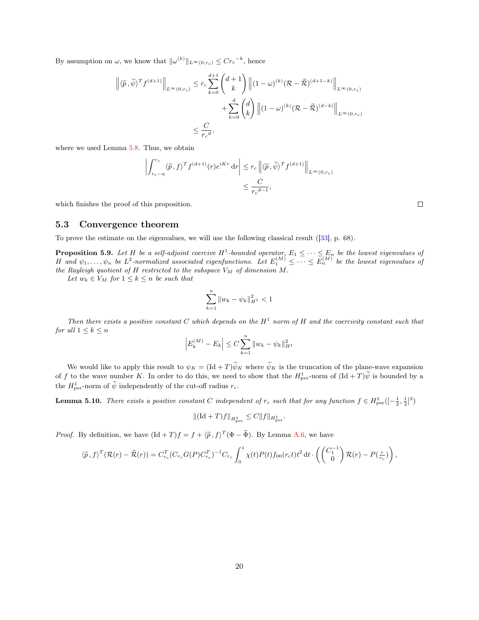By assumption on  $\omega$ , we know that  $\|\omega^{(k)}\|_{L^{\infty}(0,r_c)} \leq C r_c^{-k}$ , hence

$$
\left\| \langle \widetilde{p}, \widetilde{\psi} \rangle^T f^{(d+1)} \right\|_{L^{\infty}(0, r_c)} \leq r_c \sum_{k=0}^{d+1} {d+1 \choose k} \left\| (1-\omega)^{(k)} (\mathcal{R} - \widetilde{\mathcal{R}})^{(d+1-k)} \right\|_{L^{\infty}(0, r_c)}
$$

$$
+ \sum_{k=0}^{d} {d \choose k} \left\| (1-\omega)^{(k)} (\mathcal{R} - \widetilde{\mathcal{R}})^{(d-k)} \right\|_{L^{\infty}(0, r_c)}
$$

$$
\leq \frac{C}{r_c^d},
$$

where we used Lemma [5.8.](#page-18-2) Thus, we obtain

$$
\left| \int_{r_c - \eta}^{r_c} \langle \widetilde{p}, f \rangle^T f^{(d+1)}(r) e^{iKr} \, dr \right| \le r_c \left\| \langle \widetilde{p}, \widetilde{\psi} \rangle^T f^{(d+1)} \right\|_{L^{\infty}(0, r_c)} \le \frac{C}{r_c d - 1},
$$

which finishes the proof of this proposition.

#### 5.3 Convergence theorem

To prove the estimate on the eigenvalues, we will use the following classical result ([\[33\]](#page-28-15), p. 68).

<span id="page-19-0"></span>**Proposition 5.9.** Let H be a self-adjoint coercive  $H^1$ -bounded operator,  $E_1 \leq \cdots \leq E_n$  be the lowest eigenvalues of H and  $\psi_1,\ldots,\psi_n$  be  $L^2$ -normalized associated eigenfunctions. Let  $E_1^{(M)} \leq \cdots \leq E_n^{(M)}$  be the lowest eigenvalues of the Rayleigh quotient of H restricted to the subspace  $V_M$  of dimension M.

Let  $w_k \in V_M$  for  $1 \leq k \leq n$  be such that

$$
\sum_{k=1}^{n} \|w_k - \psi_k\|_{H^1}^2 < 1
$$

Then there exists a positive constant C which depends on the  $H^1$  norm of H and the coercivity constant such that for all  $1 \leq k \leq n$ 

$$
\left| E_k^{(M)} - E_k \right| \le C \sum_{k=1}^n \| w_k - \psi_k \|_{H^1}^2
$$

We would like to apply this result to  $\psi_K = (\text{Id} + T)\psi_K$  where  $\psi_K$  is the truncation of the plane-wave expansion of f to the wave number K. In order to do this, we need to show that the  $H_{\text{per}}^1$ -norm of  $(\text{Id} + T)\tilde{\psi}$  is bounded by a the  $H_{\text{per}}^1$ -norm of  $\widetilde{\psi}$  independently of the cut-off radius  $r_c$ .

**Lemma 5.10.** There exists a positive constant C independent of  $r_c$  such that for any function  $f \in H^1_{per}([-\frac{1}{2},\frac{1}{2}]^3)$ 

$$
\|(\mathrm{Id} + T)f\|_{H^1_{\mathrm{per}}} \le C \|f\|_{H^1_{\mathrm{per}}}.
$$

*Proof.* By definition, we have  $(\text{Id} + T)f = f + \langle \tilde{p}, f \rangle^T (\Phi - \tilde{\Phi})$ . By Lemma [A.6,](#page-23-1) we have

$$
\langle \widetilde{p},f \rangle^{T} (\mathcal{R}(r) - \widetilde{\mathcal{R}}(r)) = C_{r_c}^{T} (C_{r_c} G(P) C_{r_c}^{T})^{-1} C_{r_c} \int_0^1 \chi(t) P(t) f_{00}(r_c t) t^2 dt \cdot \left( \begin{pmatrix} C_1^{-1} \\ 0 \end{pmatrix} \mathcal{R}(r) - P(\frac{r}{r_c}) \right),
$$

 $\Box$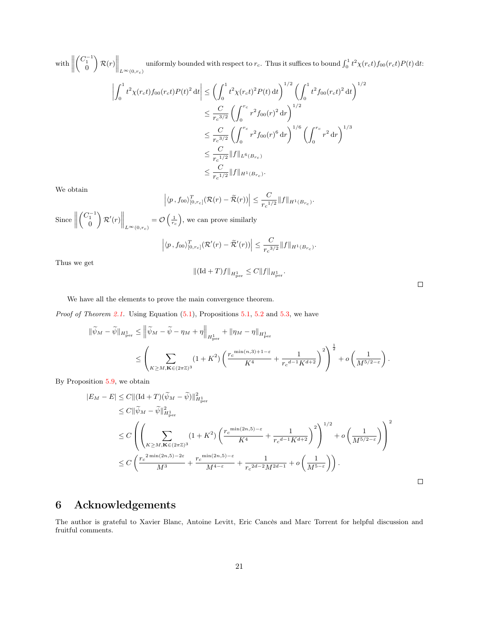with  $\Big\|$  $\begin{pmatrix} C_1^{-1} \\ 0 \end{pmatrix}$  $\left\| \mathcal{R}(r) \right\|_{L^{\infty}(0,r_c)}$ uniformly bounded with respect to  $r_c$ . Thus it suffices to bound  $\int_0^1 t^2 \chi(r_c t) f_{00}(r_c t) P(t) dt$ :

$$
\left| \int_0^1 t^2 \chi(r_c t) f_{00}(r_c t) P(t)^2 dt \right| \leq \left( \int_0^1 t^2 \chi(r_c t)^2 P(t) dt \right)^{1/2} \left( \int_0^1 t^2 f_{00}(r_c t)^2 dt \right)^{1/2}
$$
  

$$
\leq \frac{C}{r_c^{3/2}} \left( \int_0^{r_c} r^2 f_{00}(r)^2 dr \right)^{1/2}
$$
  

$$
\leq \frac{C}{r_c^{3/2}} \left( \int_0^{r_c} r^2 f_{00}(r)^6 dr \right)^{1/6} \left( \int_0^{r_c} r^2 dr \right)^{1/3}
$$
  

$$
\leq \frac{C}{r_c^{1/2}} ||f||_{L^6(B_{r_c})}
$$
  

$$
\leq \frac{C}{r_c^{1/2}} ||f||_{H^1(B_{r_c})}.
$$

We obtain

$$
|\langle p, f_{00}\rangle_{[0,r_c]}^T(\mathcal{R}(r) - \widetilde{\mathcal{R}}(r))| \leq \frac{C}{r_c^{1/2}} \|f\|_{H^1(B_{r_c})}.
$$

 $\text{Since } \left\| \right.$  $\begin{pmatrix} C_1^{-1} \\ 0 \end{pmatrix}$  $\left\Vert \mathcal{R}^{\prime}(r)\right\Vert _{L^{\infty}(0,r_{c})}$  $=\mathcal{O}\left(\frac{1}{r_c}\right)$ , we can prove similarly T  $\overline{a}$  $\mathcal{C}_{0}^{(n)}$ 

$$
\left| \langle p, f_{00} \rangle_{[0, r_c]}^T (\mathcal{R}'(r) - \widetilde{\mathcal{R}}'(r)) \right| \leq \frac{C}{r_c^{3/2}} \| f \|_{H^1(B_{r_c})}
$$

.

Thus we get

$$
\|(\mathrm{Id}+T)f\|_{H^1_\mathrm{per}}\leq C\|f\|_{H^1_\mathrm{per}}.
$$

We have all the elements to prove the main convergence theorem.

*Proof of Theorem [2.1.](#page-7-1)* Using Equation  $(5.1)$ , Propositions [5.1,](#page-12-0) [5.2](#page-12-1) and [5.3,](#page-12-4) we have

$$
\begin{split} \|\widetilde{\psi}_M-\widetilde{\psi}\|_{H^1_{\rm per}} &\leq \left\|\widetilde{\psi}_M-\widetilde{\psi}-\eta_M+\eta\right\|_{H^1_{\rm per}}+\|\eta_M-\eta\|_{H^1_{\rm per}}\\ &\leq \left(\sum_{K\geq M, \mathbf{K}\in (2\pi\mathbb{Z})^3}(1+K^2)\left(\frac{r_c^{\min(n,3)+1-\varepsilon}}{K^4}+\frac{1}{r_c^{d-1}K^{d+2}}\right)^2\right)^{\frac{1}{2}}+o\left(\frac{1}{M^{5/2-\varepsilon}}\right). \end{split}
$$

By Proposition [5.9,](#page-19-0) we obtain

$$
|E_M - E| \le C || (\text{Id} + T)(\tilde{\psi}_M - \tilde{\psi})||^2_{H^1_{\text{per}}}
$$
  
\n
$$
\le C ||\tilde{\psi}_M - \tilde{\psi}||^2_{H^1_{\text{per}}}
$$
  
\n
$$
\le C \left( \left( \sum_{K \ge M, \mathbf{K} \in (2\pi \mathbb{Z})^3} (1 + K^2) \left( \frac{r_c^{\min(2n, 5) - \varepsilon}}{K^4} + \frac{1}{r_c^{d-1} K^{d+2}} \right)^2 \right)^{1/2} + o\left( \frac{1}{M^{5/2 - \varepsilon}} \right) \right)^2
$$
  
\n
$$
\le C \left( \frac{r_c^{2\min(2n, 5) - 2\varepsilon}}{M^3} + \frac{r_c^{\min(2n, 5) - \varepsilon}}{M^{4 - \varepsilon}} + \frac{1}{r_c^{2d - 2} M^{2d - 1}} + o\left( \frac{1}{M^{5 - \varepsilon}} \right) \right).
$$

## 6 Acknowledgements

The author is grateful to Xavier Blanc, Antoine Levitt, Eric Cancès and Marc Torrent for helpful discussion and fruitful comments.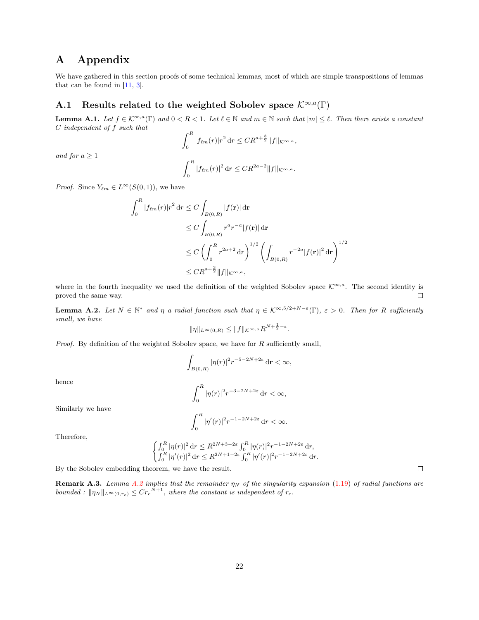### A Appendix

We have gathered in this section proofs of some technical lemmas, most of which are simple transpositions of lemmas that can be found in [\[11,](#page-27-6) [3\]](#page-27-4).

### A.1 Results related to the weighted Sobolev space  $\mathcal{K}^{\infty,a}(\Gamma)$

<span id="page-21-0"></span>**Lemma A.1.** Let  $f \in \mathcal{K}^{\infty,a}(\Gamma)$  and  $0 < R < 1$ . Let  $\ell \in \mathbb{N}$  and  $m \in \mathbb{N}$  such that  $|m| \leq \ell$ . Then there exists a constant C independent of f such that

$$
\int_0^R |f_{\ell m}(r)| r^2 \, dr \leq C R^{a + \frac{3}{2}} \|f\|_{\mathcal{K}^{\infty, a}},
$$

and for  $a \geq 1$ 

$$
\int_0^R |f_{\ell m}(r)|^2 \, dr \leq C R^{2a-2} \|f\|_{K^{\infty, a}}.
$$

*Proof.* Since  $Y_{\ell m} \in L^{\infty}(S(0,1))$ , we have

$$
\int_0^R |f_{\ell m}(r)| r^2 \, dr \le C \int_{B(0,R)} |f(\mathbf{r})| \, d\mathbf{r}
$$
  
\n
$$
\le C \int_{B(0,R)} r^a r^{-a} |f(\mathbf{r})| \, d\mathbf{r}
$$
  
\n
$$
\le C \left( \int_0^R r^{2a+2} \, dr \right)^{1/2} \left( \int_{B(0,R)} r^{-2a} |f(\mathbf{r})|^2 \, d\mathbf{r} \right)^{1/2}
$$
  
\n
$$
\le C R^{a+\frac{3}{2}} \|f\|_{\mathcal{K}^{\infty,a}},
$$

where in the fourth inequality we used the definition of the weighted Sobolev space  $\mathcal{K}^{\infty,a}$ . The second identity is proved the same way.  $\Box$ 

<span id="page-21-1"></span>**Lemma A.2.** Let  $N \in \mathbb{N}^*$  and  $\eta$  a radial function such that  $\eta \in \mathcal{K}^{\infty,5/2+N-\epsilon}(\Gamma)$ ,  $\epsilon > 0$ . Then for R sufficiently small, we have

$$
\|\eta\|_{L^{\infty}(0,R)} \le \|f\|_{\mathcal{K}^{\infty,a}} R^{N+\frac{1}{2}-\varepsilon}
$$

.

*Proof.* By definition of the weighted Sobolev space, we have for  $R$  sufficiently small,

$$
\int_{B(0,R)}|\eta(r)|^2r^{-5-2N+2\varepsilon}\,\mathrm{d}\mathbf{r}<\infty,
$$

hence

$$
\int_0^R |\eta(r)|^2 r^{-3-2N+2\varepsilon} \, \mathrm{d}r < \infty,
$$
\n
$$
\int_0^R |f(x)|^2 \, \mathrm{d}x = 1 - 2N + 2\varepsilon
$$

 $\int_0^1 |\eta'(r)|^2 r^{-1-2N+2\varepsilon} \, dr < \infty.$ 

Similarly we have

Therefore,

$$
\begin{cases} \int_0^R|\eta(r)|^2\,\mathrm{d} r\leq R^{2N+3-2\varepsilon}\int_0^R|\eta(r)|^2r^{-1-2N+2\varepsilon}\,\mathrm{d} r,\\ \int_0^R|\eta'(r)|^2\,\mathrm{d} r\leq R^{2N+1-2\varepsilon}\int_0^R|\eta'(r)|^2r^{-1-2N+2\varepsilon}\,\mathrm{d} r. \end{cases}
$$

By the Sobolev embedding theorem, we have the result.

**Remark A.3.** Lemma [A.2](#page-21-1) implies that the remainder  $\eta_N$  of the singularity expansion [\(1.19\)](#page-6-2) of radial functions are bounded :  $\|\eta_N\|_{L^{\infty}(0,r_c)} \leq Cr_c^{N+1}$ , where the constant is independent of  $r_c$ .

 $\Box$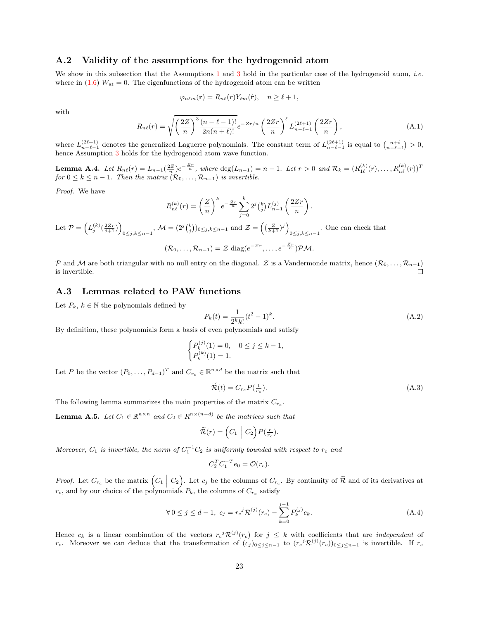### A.2 Validity of the assumptions for the hydrogenoid atom

We show in this subsection that the Assumptions [1](#page-4-1) and [3](#page-4-3) hold in the particular case of the hydrogenoid atom, *i.e.* where in  $(1.6)$   $W_{at} = 0$ . The eigenfunctions of the hydrogenoid atom can be written

$$
\varphi_{n\ell m}(\mathbf{r}) = R_{n\ell}(r) Y_{\ell m}(\hat{\mathbf{r}}), \quad n \ge \ell + 1,
$$

with

$$
R_{n\ell}(r) = \sqrt{\left(\frac{2Z}{n}\right)^3 \frac{(n-\ell-1)!}{2n(n+\ell)!}} e^{-Zr/n} \left(\frac{2Zr}{n}\right)^{\ell} L_{n-\ell-1}^{(2\ell+1)}\left(\frac{2Zr}{n}\right),\tag{A.1}
$$

where  $L_{n-\ell-1}^{(2\ell+1)}$  denotes the generalized Laguerre polynomials. The constant term of  $L_{n-\ell-1}^{(2\ell+1)}$  is equal to  $\binom{n+\ell}{n-\ell-1} > 0$ , hence Assumption [3](#page-4-3) holds for the hydrogenoid atom wave function.

<span id="page-22-0"></span>**Lemma A.4.** Let  $R_{n\ell}(r) = L_{n-1}(\frac{2Z}{n})e^{-\frac{Zr}{n}}$ , where  $\deg(L_{n-1}) = n-1$ . Let  $r > 0$  and  $\mathcal{R}_k = (R_{1\ell}^{(k)}(r), \ldots, R_{n\ell}^{(k)}(r))^T$ for  $0 \leq k \leq n-1$ . Then the matrix  $(\mathcal{R}_0, \ldots, \mathcal{R}_{n-1})$  is invertible.

Proof. We have

$$
R_{n\ell}^{(k)}(r) = \left(\frac{Z}{n}\right)^k e^{-\frac{Zr}{n}} \sum_{j=0}^k 2^j {k \choose j} L_{n-1}^{(j)} \left(\frac{2Zr}{n}\right).
$$

Let 
$$
\mathcal{P} = (L_j^{(k)}(\frac{2Zr}{j+1}))_{0 \le j,k \le n-1}
$$
,  $\mathcal{M} = (2^j {k \choose j})_{0 \le j,k \le n-1}$  and  $\mathcal{Z} = ((\frac{Z}{k+1})^j)_{0 \le j,k \le n-1}$ . One can check that  

$$
(\mathcal{R}_0, \dots, \mathcal{R}_{n-1}) = \mathcal{Z} \text{ diag}(e^{-Zr}, \dots, e^{-\frac{Zr}{n}}) \mathcal{PM}.
$$

P and M are both triangular with no null entry on the diagonal. Z is a Vandermonde matrix, hence  $(\mathcal{R}_0, \ldots, \mathcal{R}_{n-1})$ is invertible. П

#### A.3 Lemmas related to PAW functions

Let  $P_k, k \in \mathbb{N}$  the polynomials defined by

<span id="page-22-2"></span>
$$
P_k(t) = \frac{1}{2^k k!} (t^2 - 1)^k.
$$
\n(A.2)

By definition, these polynomials form a basis of even polynomials and satisfy

$$
\begin{cases} P_k^{(j)}(1) = 0, & 0 \le j \le k - 1, \\ P_k^{(k)}(1) = 1. \end{cases}
$$

Let P be the vector  $(P_0, \ldots, P_{d-1})^T$  and  $C_{r_c} \in \mathbb{R}^{n \times d}$  be the matrix such that

<span id="page-22-3"></span>
$$
\widetilde{\mathcal{R}}(t) = C_{rc} P(\frac{t}{r_c}).\tag{A.3}
$$

The following lemma summarizes the main properties of the matrix  $C_{r_c}$ .

<span id="page-22-4"></span>**Lemma A.5.** Let  $C_1 \in \mathbb{R}^{n \times n}$  and  $C_2 \in R^{n \times (n-d)}$  be the matrices such that

$$
\widetilde{\mathcal{R}}(r) = \left(C_1 \mid C_2\right) P\left(\frac{r}{r_c}\right).
$$

Moreover,  $C_1$  is invertible, the norm of  $C_1^{-1}C_2$  is uniformly bounded with respect to  $r_c$  and

$$
C_2^T C_1^{-T} e_0 = \mathcal{O}(r_c).
$$

*Proof.* Let  $C_{r_c}$  be the matrix  $\left(C_1 \mid C_2\right)$ . Let  $c_j$  be the columns of  $C_{r_c}$ . By continuity of  $\tilde{\mathcal{R}}$  and of its derivatives at  $r_c$ , and by our choice of the polynomials  $P_k$ , the columns of  $C_{r_c}$  satisfy

<span id="page-22-1"></span>
$$
\forall 0 \le j \le d - 1, \ c_j = r_c^j \mathcal{R}^{(j)}(r_c) - \sum_{k=0}^{j-1} P_k^{(j)} c_k. \tag{A.4}
$$

Hence  $c_k$  is a linear combination of the vectors  $r_c^j \mathcal{R}^{(j)}(r_c)$  for  $j \leq k$  with coefficients that are *independent* of r<sub>c</sub>. Moreover we can deduce that the transformation of  $(c_j)_{0\leq j\leq n-1}$  to  $(r_c^j \mathcal{R}^{(j)}(r_c))_{0\leq j\leq n-1}$  is invertible. If r<sub>c</sub>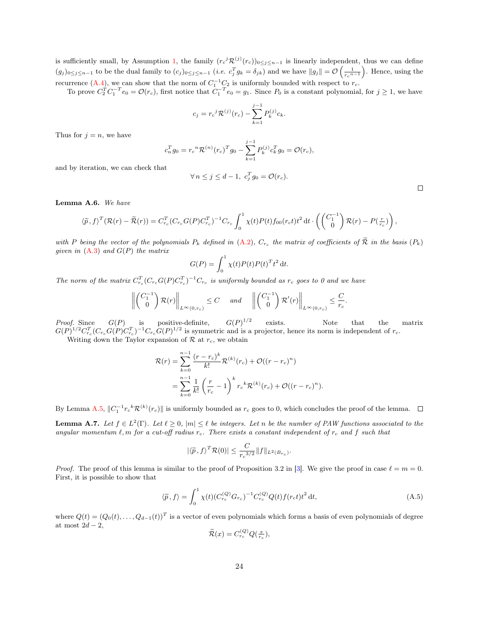is sufficiently small, by Assumption [1,](#page-4-1) the family  $(r_c{}^j \mathcal{R}^{(j)}(r_c))_{0 \leq j \leq n-1}$  is linearly independent, thus we can define  $(g_j)_{0 \leq j \leq n-1}$  to be the dual family to  $(c_j)_{0 \leq j \leq n-1}$   $(i.e.$   $c_j^T g_k = \delta_{jk}$  and we have  $||g_j|| = \mathcal{O}\left(\frac{1}{r_c^{n-1}}\right)$ . Hence, using the recurrence [\(A.4\)](#page-22-1), we can show that the norm of  $C_1^{-1}C_2$  is uniformly bounded with respect to  $r_c$ .

To prove  $C_2^TC_1^{-T}e_0 = \mathcal{O}(r_c)$ , first notice that  $C_1^{-T}e_0 = g_1$ . Since  $P_0$  is a constant polynomial, for  $j \ge 1$ , we have

$$
c_j = r_c{}^j \mathcal{R}^{(j)}(r_c) - \sum_{k=1}^{j-1} P_k^{(j)} c_k.
$$

Thus for  $j = n$ , we have

$$
c_n^T g_0 = r_c{}^n \mathcal{R}^{(n)}(r_c)^T g_0 - \sum_{k=1}^{j-1} P_k^{(j)} c_k^T g_0 = \mathcal{O}(r_c),
$$

and by iteration, we can check that

$$
\forall n \le j \le d-1, \ c_j^T g_0 = \mathcal{O}(r_c).
$$

 $\Box$ 

<span id="page-23-1"></span>Lemma A.6. We have

$$
\langle \widetilde{p},f\rangle^T (\mathcal{R}(r) - \widetilde{\mathcal{R}}(r)) = C_{r_c}^T (C_{r_c} G(P) C_{r_c}^T)^{-1} C_{r_c} \int_0^1 \chi(t) P(t) f_{00}(r_c t) t^2 dt \cdot \left( \begin{pmatrix} C_1^{-1} \\ 0 \end{pmatrix} \mathcal{R}(r) - P(\frac{r}{r_c}) \right),
$$

with P being the vector of the polynomials  $P_k$  defined in  $(A.2)$ ,  $C_{r_c}$  the matrix of coefficients of  $R$  in the basis  $(P_k)$ given in  $(A.3)$  and  $G(P)$  the matrix

$$
G(P) = \int_0^1 \chi(t) P(t) P(t)^T t^2 dt.
$$

The norm of the matrix  $C_{r_c}^T(C_{r_c}G(P)C_{r_c}^T)^{-1}C_{r_c}$  is uniformly bounded as  $r_c$  goes to 0 and we have

$$
\left\| \begin{pmatrix} C_1^{-1} \\ 0 \end{pmatrix} \mathcal{R}(r) \right\|_{L^{\infty}(0,r_c)} \leq C \quad \text{and} \quad \left\| \begin{pmatrix} C_1^{-1} \\ 0 \end{pmatrix} \mathcal{R}'(r) \right\|_{L^{\infty}(0,r_c)} \leq \frac{C}{r_c}
$$

*Proof.* Since  $G(P)$  is positive-definite,  $G(P)^{1/2}$ exists. Note that the matrix  $G(P)^{1/2} C_{r_c}^T (C_{r_c} G(P) C_{r_c}^T)^{-1} C_{r_c} G(P)^{1/2}$  is symmetric and is a projector, hence its norm is independent of  $r_c$ .

Writing down the Taylor expansion of  $R$  at  $r_c$ , we obtain

$$
\mathcal{R}(r) = \sum_{k=0}^{n-1} \frac{(r - r_c)^k}{k!} \mathcal{R}^{(k)}(r_c) + \mathcal{O}((r - r_c)^n)
$$
  
= 
$$
\sum_{k=0}^{n-1} \frac{1}{k!} \left(\frac{r}{r_c} - 1\right)^k r_c^k \mathcal{R}^{(k)}(r_c) + \mathcal{O}((r - r_c)^n).
$$

By Lemma [A.5,](#page-22-4)  $||C_1^{-1}r_c^k \mathcal{R}^{(k)}(r_c)||$  is uniformly bounded as  $r_c$  goes to 0, which concludes the proof of the lemma.

<span id="page-23-0"></span>**Lemma A.7.** Let  $f \in L^2(\Gamma)$ . Let  $\ell \geq 0$ ,  $|m| \leq \ell$  be integers. Let n be the number of PAW functions associated to the angular momentum  $\ell$ , m for a cut-off radius  $r_c$ . There exists a constant independent of  $r_c$  and f such that

$$
|\langle \widetilde{p}, f \rangle^T \mathcal{R}(0)| \leq \frac{C}{r_c^{3/2}} \|f\|_{L^2(B_{r_c})}.
$$

*Proof.* The proof of this lemma is similar to the proof of Proposition 3.2 in [\[3\]](#page-27-4). We give the proof in case  $\ell = m = 0$ . First, it is possible to show that

<span id="page-23-2"></span>
$$
\langle \tilde{p}, f \rangle = \int_0^1 \chi(t) (C_{r_c}^{(Q)} G_{r_c})^{-1} C_{r_c}^{(Q)} Q(t) f(r_c t) t^2 dt,
$$
\n(A.5)

.

where  $Q(t) = (Q_0(t), \ldots, Q_{d-1}(t))^T$  is a vector of even polynomials which forms a basis of even polynomials of degree at most  $2d - 2$ ,

$$
\widetilde{\mathcal{R}}(x) = C_{r_c}^{(Q)} Q(\frac{x}{r_c}),
$$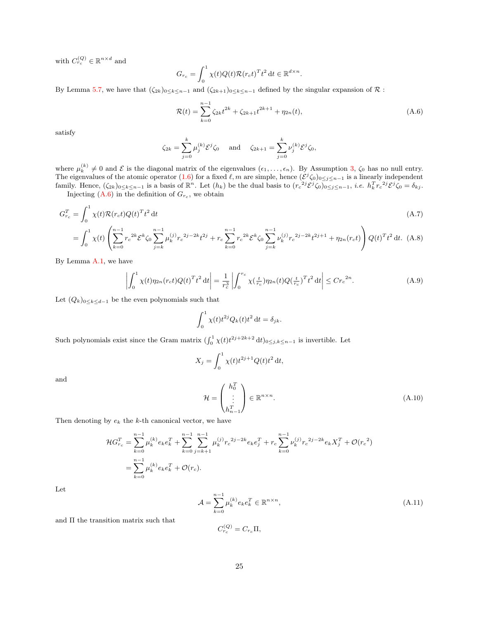with  $C_{r_c}^{(Q)} \in \mathbb{R}^{n \times d}$  and

$$
G_{r_c} = \int_0^1 \chi(t) Q(t) \mathcal{R}(r_c t)^T t^2 dt \in \mathbb{R}^{d \times n}.
$$

By Lemma [5.7,](#page-16-2) we have that  $(\zeta_{2k})_{0\leq k\leq n-1}$  and  $(\zeta_{2k+1})_{0\leq k\leq n-1}$  defined by the singular expansion of  $\mathcal R$ :

<span id="page-24-0"></span>
$$
\mathcal{R}(t) = \sum_{k=0}^{n-1} \zeta_{2k} t^{2k} + \zeta_{2k+1} t^{2k+1} + \eta_{2n}(t),
$$
\n(A.6)

satisfy

$$
\zeta_{2k} = \sum_{j=0}^{k} \mu_j^{(k)} \mathcal{E}^j \zeta_0
$$
 and  $\zeta_{2k+1} = \sum_{j=0}^{k} \nu_j^{(k)} \mathcal{E}^j \zeta_0$ ,

where  $\mu_k^{(k)} \neq 0$  and  $\mathcal E$  is the diagonal matrix of the eigenvalues  $(\epsilon_1, \ldots, \epsilon_n)$ . By Assumption [3,](#page-4-3)  $\zeta_0$  has no null entry. The eigenvalues of the atomic operator [\(1.6\)](#page-2-1) for a fixed  $\ell, m$  are simple, hence  $(\mathcal{E}^j \zeta_0)_{0 \leq j \leq n-1}$  is a linearly independent family. Hence,  $(\zeta_{2k})_{0\leq k\leq n-1}$  is a basis of  $\mathbb{R}^n$ . Let  $(h_k)$  be the dual basis to  $(r_c^{2j}\mathcal{E}^j\zeta_0)_{0\leq j\leq n-1}$ , *i.e.*  $h_k^T r_c^{2j}\mathcal{E}^j\zeta_0 = \delta_{kj}$ .

Injecting  $(A.6)$  in the definition of  $G_{r_c}$ , we obtain

$$
G_{r_c}^T = \int_0^1 \chi(t) \mathcal{R}(r_c t) Q(t)^T t^2 dt \tag{A.7}
$$

$$
= \int_0^1 \chi(t) \left( \sum_{k=0}^{n-1} r_c^{2k} \mathcal{E}^k \zeta_0 \sum_{j=k}^{n-1} \mu_k^{(j)} r_c^{2j-2k} t^{2j} + r_c \sum_{k=0}^{n-1} r_c^{2k} \mathcal{E}^k \zeta_0 \sum_{j=k}^{n-1} \nu_k^{(j)} r_c^{2j-2k} t^{2j+1} + \eta_{2n}(r_c t) \right) Q(t)^T t^2 dt. \tag{A.8}
$$

By Lemma [A.1,](#page-21-0) we have

$$
\left| \int_0^1 \chi(t) \eta_{2n}(r_c t) Q(t)^T t^2 dt \right| = \frac{1}{r_c^3} \left| \int_0^{r_c} \chi(\frac{t}{r_c}) \eta_{2n}(t) Q(\frac{t}{r_c})^T t^2 dt \right| \leq C r_c^{2n}.
$$
 (A.9)

Let  $(Q_k)_{0 \leq k \leq d-1}$  be the even polynomials such that

$$
\int_0^1 \chi(t)t^{2j} Q_k(t)t^2 dt = \delta_{jk}.
$$

Such polynomials exist since the Gram matrix  $(\int_0^1 \chi(t) t^{2j+2k+2} dt)_{0 \le j,k \le n-1}$  is invertible. Let

$$
X_j = \int_0^1 \chi(t) t^{2j+1} Q(t) t^2 dt,
$$

and

<span id="page-24-1"></span>
$$
\mathcal{H} = \begin{pmatrix} h_0^T \\ \vdots \\ h_{n-1}^T \end{pmatrix} \in \mathbb{R}^{n \times n}.
$$
\n(A.10)

Then denoting by  $e_k$  the k-th canonical vector, we have

$$
\mathcal{H}G_{r_c}^T = \sum_{k=0}^{n-1} \mu_k^{(k)} e_k e_k^T + \sum_{k=0}^{n-1} \sum_{j=k+1}^{n-1} \mu_k^{(j)} r_c^{2j-2k} e_k e_j^T + r_c \sum_{k=0}^{n-1} \nu_k^{(j)} r_c^{2j-2k} e_k X_j^T + \mathcal{O}(r_c^2)
$$
  
= 
$$
\sum_{k=0}^{n-1} \mu_k^{(k)} e_k e_k^T + \mathcal{O}(r_c).
$$

Let

$$
\mathcal{A} = \sum_{k=0}^{n-1} \mu_k^{(k)} e_k e_k^T \in \mathbb{R}^{n \times n},\tag{A.11}
$$

and Π the transition matrix such that

$$
C_{r_c}^{(Q)} = C_{r_c} \Pi,
$$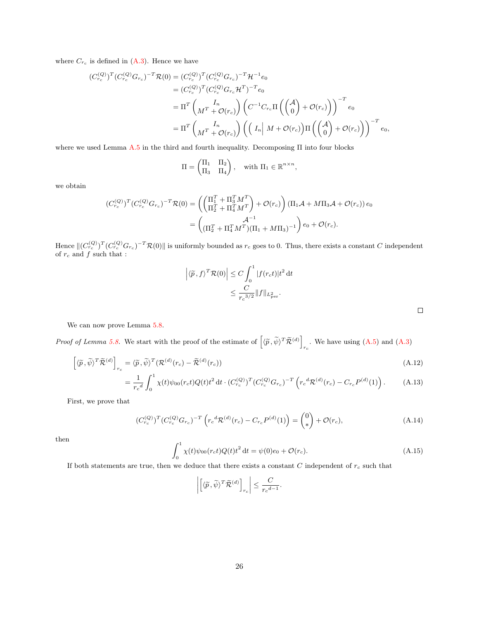where  $C_{r_c}$  is defined in  $(A.3)$ . Hence we have

$$
(C_{r_c}^{(Q)})^T (C_{r_c}^{(Q)} G_{r_c})^{-T} \mathcal{R}(0) = (C_{r_c}^{(Q)})^T (C_{r_c}^{(Q)} G_{r_c})^{-T} \mathcal{H}^{-1} e_0
$$
  
\n
$$
= (C_{r_c}^{(Q)})^T (C_{r_c}^{(Q)} G_{r_c} \mathcal{H}^T)^{-T} e_0
$$
  
\n
$$
= \Pi^T \begin{pmatrix} I_n \\ M^T + \mathcal{O}(r_c) \end{pmatrix} \left( C^{-1} C_{r_c} \Pi \begin{pmatrix} A \\ 0 \end{pmatrix} + \mathcal{O}(r_c) \right)^{-T} e_0
$$
  
\n
$$
= \Pi^T \begin{pmatrix} I_n \\ M^T + \mathcal{O}(r_c) \end{pmatrix} \left( \begin{pmatrix} I_n \\ M + \mathcal{O}(r_c) \end{pmatrix} \Pi \begin{pmatrix} A \\ 0 \end{pmatrix} + \mathcal{O}(r_c) \right)^{-T} e_0,
$$

where we used Lemma [A.5](#page-22-4) in the third and fourth inequality. Decomposing Π into four blocks

$$
\Pi = \begin{pmatrix} \Pi_1 & \Pi_2 \\ \Pi_3 & \Pi_4 \end{pmatrix}, \quad \text{with } \Pi_1 \in \mathbb{R}^{n \times n},
$$

we obtain

$$
(C_{r_c}^{(Q)})^T (C_{r_c}^{(Q)} G_{r_c})^{-T} \mathcal{R}(0) = \left( \begin{pmatrix} \Pi_1^T + \Pi_3^T M^T \\ \Pi_2^T + \Pi_4^T M^T \end{pmatrix} + \mathcal{O}(r_c) \right) (\Pi_1 \mathcal{A} + M \Pi_3 \mathcal{A} + \mathcal{O}(r_c)) e_0
$$

$$
= \begin{pmatrix} \mathcal{A}^{-1} \\ (\Pi_2^T + \Pi_4^T M^T) (\Pi_1 + M \Pi_3)^{-1} \end{pmatrix} e_0 + \mathcal{O}(r_c).
$$

Hence  $\|(C_{r_c}^{(Q)})^T(C_{r_c}^{(Q)}G_{r_c})^{-T}\mathcal{R}(0)\|$  is uniformly bounded as  $r_c$  goes to 0. Thus, there exists a constant C independent of  $r_c$  and  $f$  such that :

$$
\left| \langle \widetilde{p}, f \rangle^T \mathcal{R}(0) \right| \le C \int_0^1 |f(r_c t)| t^2 dt
$$
  

$$
\le \frac{C}{r_c^{3/2}} \|f\|_{L_{\text{per}}^2}.
$$

 $\hfill \square$ 

We can now prove Lemma [5.8.](#page-18-2)

*Proof of Lemma [5.8.](#page-18-2)* We start with the proof of the estimate of  $\left[ \langle \tilde{p}, \tilde{\psi} \rangle^T \tilde{\mathcal{R}}^{(d)} \right]$ . We have using  $(A.5)$  and  $(A.3)$ 

$$
\left[ \langle \widetilde{p}, \widetilde{\psi} \rangle^T \widetilde{\mathcal{R}}^{(d)} \right]_{r_c} = \langle \widetilde{p}, \widetilde{\psi} \rangle^T (\mathcal{R}^{(d)}(r_c) - \widetilde{\mathcal{R}}^{(d)}(r_c))
$$
\n(A.12)

$$
= \frac{1}{r_c^d} \int_0^1 \chi(t) \psi_{00}(r_c t) Q(t) t^2 dt \cdot (C_{r_c}^{(Q)})^T (C_{r_c}^{(Q)} G_{r_c})^{-T} \left( r_c^d \mathcal{R}^{(d)}(r_c) - C_{r_c} P^{(d)}(1) \right). \tag{A.13}
$$

First, we prove that

<span id="page-25-0"></span>
$$
(C_{r_c}^{(Q)})^T (C_{r_c}^{(Q)} G_{r_c})^{-T} \left( r_c^d \mathcal{R}^{(d)}(r_c) - C_{r_c} P^{(d)}(1) \right) = \begin{pmatrix} 0 \\ * \end{pmatrix} + \mathcal{O}(r_c), \tag{A.14}
$$

then

<span id="page-25-1"></span>
$$
\int_0^1 \chi(t)\psi_{00}(r_c t)Q(t)t^2 dt = \psi(0)e_0 + \mathcal{O}(r_c).
$$
\n(A.15)

If both statements are true, then we deduce that there exists a constant  $C$  independent of  $r_c$  such that

$$
\left| \left[ \langle \widetilde{p}, \widetilde{\psi} \rangle^T \widetilde{\mathcal{R}}^{(d)} \right]_{r_c} \right| \leq \frac{C}{r_c^{d-1}}.
$$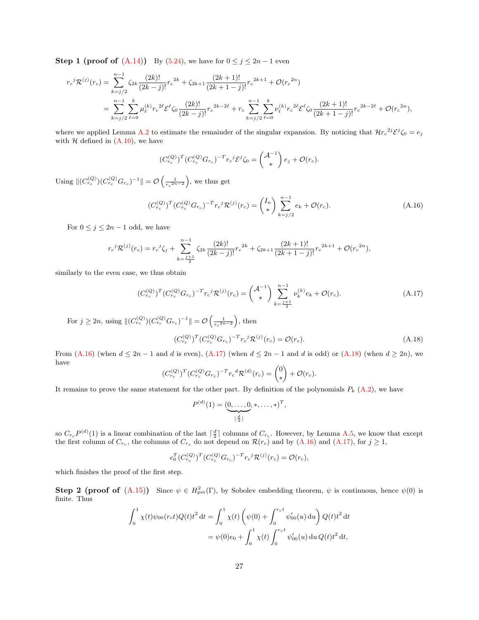**Step 1 (proof of [\(A.14\)](#page-25-0))** By [\(5.24\)](#page-16-0), we have for  $0 \le j \le 2n - 1$  even

$$
r_c{}^j \mathcal{R}^{(j)}(r_c) = \sum_{k=j/2}^{n-1} \zeta_{2k} \frac{(2k)!}{(2k-j)!} r_c{}^{2k} + \zeta_{2k+1} \frac{(2k+1)!}{(2k+1-j)!} r_c{}^{2k+1} + \mathcal{O}(r_c{}^{2n})
$$
  
= 
$$
\sum_{k=j/2}^{n-1} \sum_{\ell=0}^k \mu_{\ell}^{(k)} r_c{}^{2\ell} \mathcal{E}^{\ell} \zeta_0 \frac{(2k)!}{(2k-j)!} r_c{}^{2k-2\ell} + r_c \sum_{k=j/2}^{n-1} \sum_{\ell=0}^k \nu_{\ell}^{(k)} r_c{}^{2\ell} \mathcal{E}^{\ell} \zeta_0 \frac{(2k+1)!}{(2k+1-j)!} r_c{}^{2k-2\ell} + \mathcal{O}(r_c{}^{2n}),
$$

where we applied Lemma [A.2](#page-21-1) to estimate the remainder of the singular expansion. By noticing that  $\mathcal{H}r_c^{2j}\mathcal{E}^j\zeta_0=e_j$ with  $H$  defined in  $(A.10)$ , we have

<span id="page-26-0"></span>
$$
(C_{r_c}^{(Q)})^T (C_{r_c}^{(Q)} G_{r_c})^{-T} r_c^j \mathcal{E}^j \zeta_0 = \begin{pmatrix} \mathcal{A}^{-1} \\ * \end{pmatrix} e_j + \mathcal{O}(r_c).
$$

Using  $||(C_{r_c}^{(Q)})(C_{r_c}^{(Q)}G_{r_c})^{-1}|| = \mathcal{O}\left(\frac{1}{r_c^{2n-2}}\right)$ , we thus get

$$
(C_{r_c}^{(Q)})^T (C_{r_c}^{(Q)} G_{r_c})^{-T} r_c{}^j \mathcal{R}^{(j)}(r_c) = \binom{I_n}{*} \sum_{k=j/2}^{n-1} e_k + \mathcal{O}(r_c). \tag{A.16}
$$

For  $0 \leq j \leq 2n-1$  odd, we have

$$
r_c{}^j \mathcal{R}^{(j)}(r_c) = r_c{}^j \zeta_j + \sum_{k=\frac{j+1}{2}}^{n-1} \zeta_{2k} \frac{(2k)!}{(2k-j)!} r_c{}^{2k} + \zeta_{2k+1} \frac{(2k+1)!}{(2k+1-j)!} r_c{}^{2k+1} + \mathcal{O}(r_c{}^{2n}),
$$

similarly to the even case, we thus obtain

$$
(C_{r_c}^{(Q)})^T (C_{r_c}^{(Q)} G_{r_c})^{-T} r_c^j \mathcal{R}^{(j)}(r_c) = \binom{\mathcal{A}^{-1}}{\ast} \sum_{k=\frac{j+1}{2}}^{n-1} \nu_k^{(k)} e_k + \mathcal{O}(r_c). \tag{A.17}
$$

For  $j \ge 2n$ , using  $||(C_{r_c}^{(Q)})(C_{r_c}^{(Q)}G_{r_c})^{-1}|| = \mathcal{O}\left(\frac{1}{r_c^{2n-2}}\right)$ , then

<span id="page-26-2"></span><span id="page-26-1"></span>
$$
(C_{r_c}^{(Q)})^T (C_{r_c}^{(Q)} G_{r_c})^{-T} r_c{}^j \mathcal{R}^{(j)}(r_c) = \mathcal{O}(r_c). \tag{A.18}
$$

From  $(A.16)$  (when  $d \leq 2n-1$  and d is even),  $(A.17)$  (when  $d \leq 2n-1$  and d is odd) or  $(A.18)$  (when  $d \geq 2n$ ), we have  $\lambda$ 

$$
(C_{r_c}^{(Q)})^T (C_{r_c}^{(Q)} G_{r_c})^{-T} r_c^d \mathcal{R}^{(d)}(r_c) = \binom{0}{*} + \mathcal{O}(r_c).
$$

It remains to prove the same statement for the other part. By definition of the polynomials  $P_k$  [\(A.2\)](#page-22-2), we have

$$
P^{(d)}(1) = (\underbrace{0, \ldots, 0}_{\lfloor \frac{d}{2} \rfloor}, \ast, \ldots, \ast)^{T},
$$

so  $C_{r_c}P^{(d)}(1)$  is a linear combination of the last  $\lceil \frac{d}{2} \rceil$  columns of  $C_{r_c}$ . However, by Lemma [A.5,](#page-22-4) we know that except the first column of  $C_{r_c}$ , the columns of  $C_{r_c}$  do not depend on  $\mathcal{R}(r_c)$  and by [\(A.16\)](#page-26-0) and [\(A.17\)](#page-26-1), for  $j \geq 1$ ,

$$
e_0^T (C_{r_c}^{(Q)})^T (C_{r_c}^{(Q)} G_{r_c})^{-T} r_c{}^j \mathcal{R}^{(j)}(r_c) = \mathcal{O}(r_c),
$$

which finishes the proof of the first step.

**Step 2 (proof of [\(A.15\)](#page-25-1))** Since  $\psi \in H^2_{\text{per}}(\Gamma)$ , by Sobolev embedding theorem,  $\psi$  is continuous, hence  $\psi(0)$  is finite. Thus

$$
\int_0^1 \chi(t)\psi_{00}(r_c t)Q(t)t^2 dt = \int_0^1 \chi(t)\left(\psi(0) + \int_0^{r_c t} \psi'_{00}(u) du\right)Q(t)t^2 dt
$$
  
=  $\psi(0)e_0 + \int_0^1 \chi(t)\int_0^{r_c t} \psi'_{00}(u) du Q(t)t^2 dt$ ,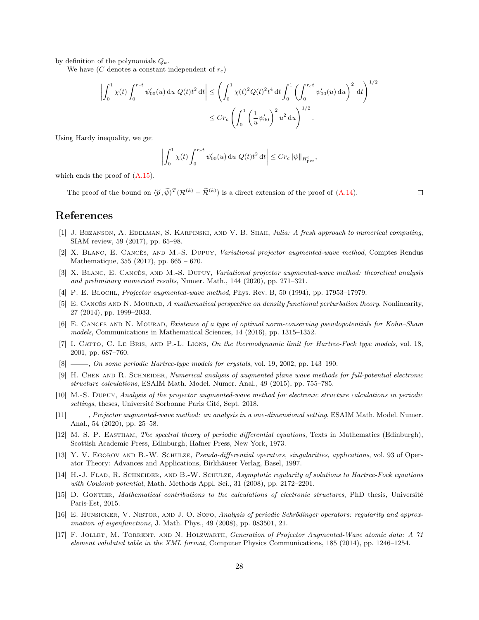by definition of the polynomials  $Q_k$ .

We have  $(C$  denotes a constant independent of  $r_c$ )

$$
\left| \int_0^1 \chi(t) \int_0^{r_c t} \psi'_{00}(u) du Q(t) t^2 dt \right| \leq \left( \int_0^1 \chi(t)^2 Q(t)^2 t^4 dt \int_0^1 \left( \int_0^{r_c t} \psi'_{00}(u) du \right)^2 dt \right)^{1/2}
$$
  

$$
\leq C r_c \left( \int_0^1 \left( \frac{1}{u} \psi'_{00} \right)^2 u^2 du \right)^{1/2}.
$$

Using Hardy inequality, we get

$$
\left| \int_0^1 \chi(t) \int_0^{r_c t} \psi'_{00}(u) \, \mathrm{d}u \, Q(t) t^2 \, \mathrm{d}t \right| \leq C r_c \| \psi \|_{H^2_{\text{per}}},
$$

which ends the proof of  $(A.15)$ .

The proof of the bound on  $\langle \tilde{p}, \tilde{\psi} \rangle^T (\mathcal{R}^{(k)} - \tilde{\mathcal{R}}^{(k)})$  is a direct extension of the proof of [\(A.14\)](#page-25-0).

 $\Box$ 

### References

- <span id="page-27-16"></span>[1] J. BEZANSON, A. EDELMAN, S. KARPINSKI, AND V. B. SHAH, Julia: A fresh approach to numerical computing, SIAM review, 59 (2017), pp. 65–98.
- <span id="page-27-3"></span>[2] X. Blanc, E. Cancès, and M.-S. Dupuy, Variational projector augmented-wave method, Comptes Rendus Mathematique, 355 (2017), pp. 665 – 670.
- <span id="page-27-4"></span>[3] X. Blanc, E. Cancès, and M.-S. Dupuy, Variational projector augmented-wave method: theoretical analysis and preliminary numerical results, Numer. Math., 144 (2020), pp. 271–321.
- <span id="page-27-5"></span>[4] P. E. BLOCHL, Projector augmented-wave method, Phys. Rev. B, 50 (1994), pp. 17953–17979.
- <span id="page-27-12"></span>[5] E. CANCÈS AND N. MOURAD, A mathematical perspective on density functional perturbation theory, Nonlinearity, 27 (2014), pp. 1999–2033.
- <span id="page-27-0"></span>[6] E. CANCES AND N. MOURAD, Existence of a type of optimal norm-conserving pseudopotentials for Kohn–Sham models, Communications in Mathematical Sciences, 14 (2016), pp. 1315–1352.
- <span id="page-27-10"></span>[7] I. CATTO, C. LE BRIS, AND P.-L. LIONS, On the thermodynamic limit for Hartree-Fock type models, vol. 18, 2001, pp. 687–760.
- <span id="page-27-9"></span>[8] , On some periodic Hartree-type models for crystals, vol. 19, 2002, pp. 143–190.
- <span id="page-27-2"></span>[9] H. CHEN AND R. SCHNEIDER, Numerical analysis of augmented plane wave methods for full-potential electronic structure calculations, ESAIM Math. Model. Numer. Anal., 49 (2015), pp. 755–785.
- <span id="page-27-1"></span>[10] M.-S. Dupuy, Analysis of the projector augmented-wave method for electronic structure calculations in periodic settings, theses, Université Sorbonne Paris Cité, Sept. 2018.
- <span id="page-27-6"></span>[11]  $\_\_\_\_\$ n Projector augmented-wave method: an analysis in a one-dimensional setting, ESAIM Math. Model. Numer. Anal., 54 (2020), pp. 25–58.
- <span id="page-27-8"></span>[12] M. S. P. Eastham, The spectral theory of periodic differential equations, Texts in Mathematics (Edinburgh), Scottish Academic Press, Edinburgh; Hafner Press, New York, 1973.
- <span id="page-27-15"></span>[13] Y. V. EGOROV AND B.-W. SCHULZE, Pseudo-differential operators, singularities, applications, vol. 93 of Operator Theory: Advances and Applications, Birkhäuser Verlag, Basel, 1997.
- <span id="page-27-13"></span>[14] H.-J. FLAD, R. SCHNEIDER, AND B.-W. SCHULZE, Asymptotic regularity of solutions to Hartree-Fock equations with Coulomb potential, Math. Methods Appl. Sci., 31 (2008), pp. 2172–2201.
- <span id="page-27-7"></span>[15] D. GONTIER, Mathematical contributions to the calculations of electronic structures, PhD thesis, Université Paris-Est, 2015.
- <span id="page-27-14"></span>[16] E. HUNSICKER, V. NISTOR, AND J. O. SOFO, Analysis of periodic Schrödinger operators: regularity and approximation of eigenfunctions, J. Math. Phys., 49 (2008), pp. 083501, 21.
- <span id="page-27-11"></span>[17] F. Jollet, M. Torrent, and N. Holzwarth, Generation of Projector Augmented-Wave atomic data: A 71 element validated table in the XML format, Computer Physics Communications, 185 (2014), pp. 1246–1254.